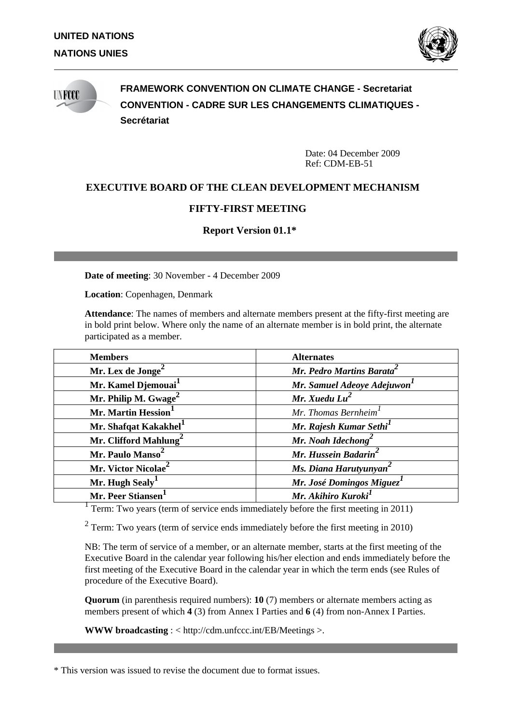

# **INFOCC**

**FRAMEWORK CONVENTION ON CLIMATE CHANGE - Secretariat CONVENTION - CADRE SUR LES CHANGEMENTS CLIMATIQUES - Secrétariat**

> Date: 04 December 2009 Ref: CDM-EB-51

# **EXECUTIVE BOARD OF THE CLEAN DEVELOPMENT MECHANISM**

# **FIFTY-FIRST MEETING**

**Report Version 01.1\***

**Date of meeting**: 30 November - 4 December 2009

**Location**: Copenhagen, Denmark

**Attendance**: The names of members and alternate members present at the fifty-first meeting are in bold print below. Where only the name of an alternate member is in bold print, the alternate participated as a member.

| <b>Members</b>                    | <b>Alternates</b>                     |
|-----------------------------------|---------------------------------------|
| Mr. Lex de Jonge <sup>2</sup>     | Mr. Pedro Martins Barata <sup>4</sup> |
| Mr. Kamel Djemouai <sup>1</sup>   | Mr. Samuel Adeoye Adejuwon            |
| Mr. Philip M. $Gwage^2$           | Mr. Xuedu $Lu^2$                      |
| Mr. Martin Hession                | Mr. Thomas Bernheim <sup>1</sup>      |
| Mr. Shafqat Kakakhel <sup>1</sup> | Mr. Rajesh Kumar Sethi <sup>1</sup>   |
| Mr. Clifford Mahlung              | Mr. Noah Idechong                     |
| Mr. Paulo Manso <sup>2</sup>      | Mr. Hussein Badarin                   |
| Mr. Victor Nicolae <sup>2</sup>   | Ms. Diana Harutyunyan <sup>2</sup>    |
| Mr. Hugh Sealy <sup>1</sup>       | Mr. José Domingos Miguez <sup>1</sup> |
| <b>Mr. Peer Stiansen</b>          | Mr. Akihiro Kuroki <sup>1</sup>       |

<sup>1</sup> Term: Two years (term of service ends immediately before the first meeting in 2011)

 $2$  Term: Two years (term of service ends immediately before the first meeting in 2010)

NB: The term of service of a member, or an alternate member, starts at the first meeting of the Executive Board in the calendar year following his/her election and ends immediately before the first meeting of the Executive Board in the calendar year in which the term ends (see Rules of procedure of the Executive Board).

**Quorum** (in parenthesis required numbers): **10** (7) members or alternate members acting as members present of which **4** (3) from Annex I Parties and **6** (4) from non-Annex I Parties.

**WWW broadcasting** : < http://cdm.unfccc.int/EB/Meetings >.

\* This version was issued to revise the document due to format issues.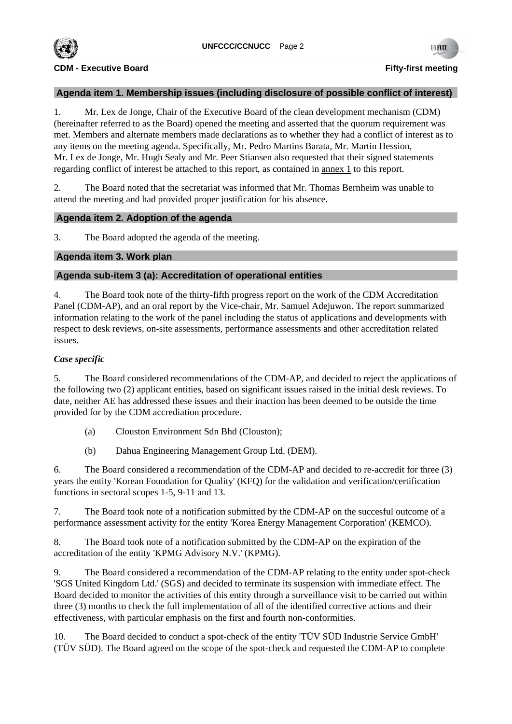

# **Agenda item 1. Membership issues (including disclosure of possible conflict of interest)**

1. Mr. Lex de Jonge, Chair of the Executive Board of the clean development mechanism (CDM) (hereinafter referred to as the Board) opened the meeting and asserted that the quorum requirement was met. Members and alternate members made declarations as to whether they had a conflict of interest as to any items on the meeting agenda. Specifically, Mr. Pedro Martins Barata, Mr. Martin Hession, Mr. Lex de Jonge, Mr. Hugh Sealy and Mr. Peer Stiansen also requested that their signed statements regarding conflict of interest be attached to this report, as contained in annex 1 to this report.

2. The Board noted that the secretariat was informed that Mr. Thomas Bernheim was unable to attend the meeting and had provided proper justification for his absence.

# **Agenda item 2. Adoption of the agenda**

3. The Board adopted the agenda of the meeting.

# **Agenda item 3. Work plan**

# **Agenda sub-item 3 (a): Accreditation of operational entities**

4. The Board took note of the thirty-fifth progress report on the work of the CDM Accreditation Panel (CDM-AP), and an oral report by the Vice-chair, Mr. Samuel Adejuwon. The report summarized information relating to the work of the panel including the status of applications and developments with respect to desk reviews, on-site assessments, performance assessments and other accreditation related issues.

# *Case specific*

5. The Board considered recommendations of the CDM-AP, and decided to reject the applications of the following two (2) applicant entities, based on significant issues raised in the initial desk reviews. To date, neither AE has addressed these issues and their inaction has been deemed to be outside the time provided for by the CDM accrediation procedure.

- (a) Clouston Environment Sdn Bhd (Clouston);
- (b) Dahua Engineering Management Group Ltd. (DEM).

6. The Board considered a recommendation of the CDM-AP and decided to re-accredit for three (3) years the entity 'Korean Foundation for Quality' (KFQ) for the validation and verification/certification functions in sectoral scopes 1-5, 9-11 and 13.

7. The Board took note of a notification submitted by the CDM-AP on the succesful outcome of a performance assessment activity for the entity 'Korea Energy Management Corporation' (KEMCO).

8. The Board took note of a notification submitted by the CDM-AP on the expiration of the accreditation of the entity 'KPMG Advisory N.V.' (KPMG).

9. The Board considered a recommendation of the CDM-AP relating to the entity under spot-check 'SGS United Kingdom Ltd.' (SGS) and decided to terminate its suspension with immediate effect. The Board decided to monitor the activities of this entity through a surveillance visit to be carried out within three (3) months to check the full implementation of all of the identified corrective actions and their effectiveness, with particular emphasis on the first and fourth non-conformities.

10. The Board decided to conduct a spot-check of the entity 'TÜV SÜD Industrie Service GmbH' (TÜV SÜD). The Board agreed on the scope of the spot-check and requested the CDM-AP to complete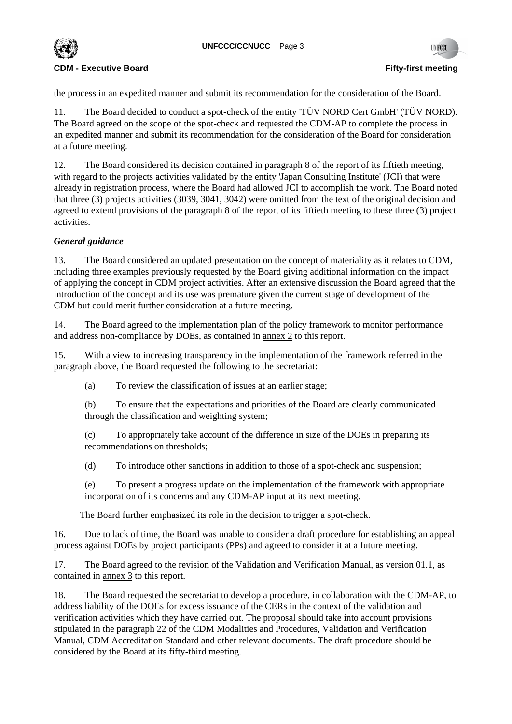**UNFCCC/CCNUCC** Page 3



**CDM - Executive Board Fifty-first meeting**

the process in an expedited manner and submit its recommendation for the consideration of the Board.

11. The Board decided to conduct a spot-check of the entity 'TÜV NORD Cert GmbH' (TÜV NORD). The Board agreed on the scope of the spot-check and requested the CDM-AP to complete the process in an expedited manner and submit its recommendation for the consideration of the Board for consideration at a future meeting.

12. The Board considered its decision contained in paragraph 8 of the report of its fiftieth meeting, with regard to the projects activities validated by the entity 'Japan Consulting Institute' (JCI) that were already in registration process, where the Board had allowed JCI to accomplish the work. The Board noted that three (3) projects activities (3039, 3041, 3042) were omitted from the text of the original decision and agreed to extend provisions of the paragraph 8 of the report of its fiftieth meeting to these three (3) project activities.

# *General guidance*

13. The Board considered an updated presentation on the concept of materiality as it relates to CDM, including three examples previously requested by the Board giving additional information on the impact of applying the concept in CDM project activities. After an extensive discussion the Board agreed that the introduction of the concept and its use was premature given the current stage of development of the CDM but could merit further consideration at a future meeting.

14. The Board agreed to the implementation plan of the policy framework to monitor performance and address non-compliance by DOEs, as contained in annex 2 to this report.

15. With a view to increasing transparency in the implementation of the framework referred in the paragraph above, the Board requested the following to the secretariat:

(a) To review the classification of issues at an earlier stage;

(b) To ensure that the expectations and priorities of the Board are clearly communicated through the classification and weighting system;

(c) To appropriately take account of the difference in size of the DOEs in preparing its recommendations on thresholds;

(d) To introduce other sanctions in addition to those of a spot-check and suspension;

(e) To present a progress update on the implementation of the framework with appropriate incorporation of its concerns and any CDM-AP input at its next meeting.

The Board further emphasized its role in the decision to trigger a spot-check.

16. Due to lack of time, the Board was unable to consider a draft procedure for establishing an appeal process against DOEs by project participants (PPs) and agreed to consider it at a future meeting.

17. The Board agreed to the revision of the Validation and Verification Manual, as version 01.1, as contained in annex 3 to this report.

18. The Board requested the secretariat to develop a procedure, in collaboration with the CDM-AP, to address liability of the DOEs for excess issuance of the CERs in the context of the validation and verification activities which they have carried out. The proposal should take into account provisions stipulated in the paragraph 22 of the CDM Modalities and Procedures, Validation and Verification Manual, CDM Accreditation Standard and other relevant documents. The draft procedure should be considered by the Board at its fifty-third meeting.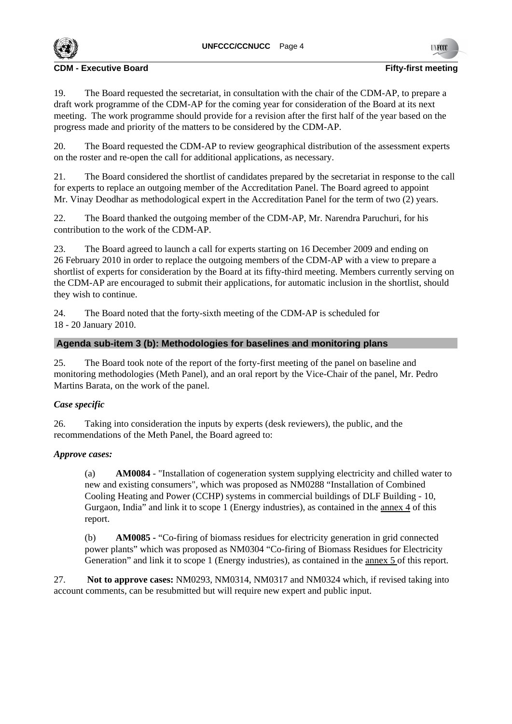

19. The Board requested the secretariat, in consultation with the chair of the CDM-AP, to prepare a draft work programme of the CDM-AP for the coming year for consideration of the Board at its next meeting. The work programme should provide for a revision after the first half of the year based on the progress made and priority of the matters to be considered by the CDM-AP.

20. The Board requested the CDM-AP to review geographical distribution of the assessment experts on the roster and re-open the call for additional applications, as necessary.

21. The Board considered the shortlist of candidates prepared by the secretariat in response to the call for experts to replace an outgoing member of the Accreditation Panel. The Board agreed to appoint Mr. Vinay Deodhar as methodological expert in the Accreditation Panel for the term of two (2) years.

22. The Board thanked the outgoing member of the CDM-AP, Mr. Narendra Paruchuri, for his contribution to the work of the CDM-AP.

23. The Board agreed to launch a call for experts starting on 16 December 2009 and ending on 26 February 2010 in order to replace the outgoing members of the CDM-AP with a view to prepare a shortlist of experts for consideration by the Board at its fifty-third meeting. Members currently serving on the CDM-AP are encouraged to submit their applications, for automatic inclusion in the shortlist, should they wish to continue.

24. The Board noted that the forty-sixth meeting of the CDM-AP is scheduled for 18 - 20 January 2010.

# **Agenda sub-item 3 (b): Methodologies for baselines and monitoring plans**

25. The Board took note of the report of the forty-first meeting of the panel on baseline and monitoring methodologies (Meth Panel), and an oral report by the Vice-Chair of the panel, Mr. Pedro Martins Barata, on the work of the panel.

# *Case specific*

26. Taking into consideration the inputs by experts (desk reviewers), the public, and the recommendations of the Meth Panel, the Board agreed to:

# *Approve cases:*

(a) **AM0084** - "Installation of cogeneration system supplying electricity and chilled water to new and existing consumers", which was proposed as NM0288 "Installation of Combined Cooling Heating and Power (CCHP) systems in commercial buildings of DLF Building - 10, Gurgaon, India" and link it to scope 1 (Energy industries), as contained in the annex 4 of this report.

(b) **AM0085 -** "Co-firing of biomass residues for electricity generation in grid connected power plants" which was proposed as NM0304 "Co-firing of Biomass Residues for Electricity Generation" and link it to scope 1 (Energy industries), as contained in the annex 5 of this report.

27. **Not to approve cases:** NM0293, NM0314, NM0317 and NM0324 which, if revised taking into account comments, can be resubmitted but will require new expert and public input.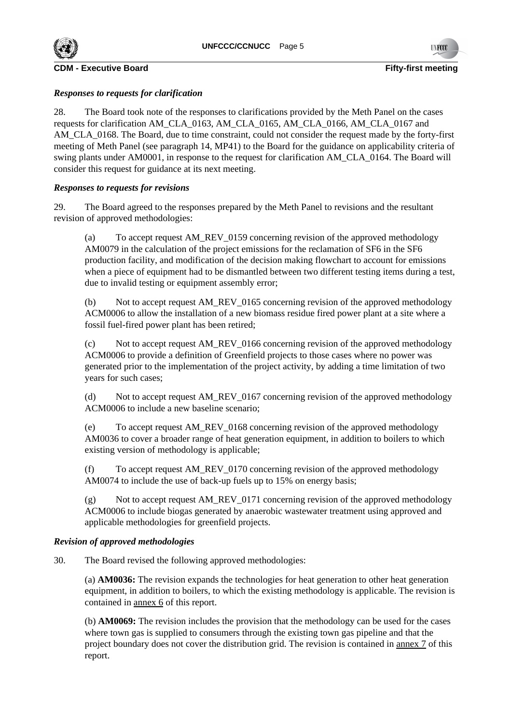

# *Responses to requests for clarification*

28. The Board took note of the responses to clarifications provided by the Meth Panel on the cases requests for clarification AM\_CLA\_0163, AM\_CLA\_0165, AM\_CLA\_0166, AM\_CLA\_0167 and AM\_CLA\_0168. The Board, due to time constraint, could not consider the request made by the forty-first meeting of Meth Panel (see paragraph 14, MP41) to the Board for the guidance on applicability criteria of swing plants under AM0001, in response to the request for clarification AM\_CLA\_0164. The Board will consider this request for guidance at its next meeting.

# *Responses to requests for revisions*

29. The Board agreed to the responses prepared by the Meth Panel to revisions and the resultant revision of approved methodologies:

(a) To accept request AM\_REV\_0159 concerning revision of the approved methodology AM0079 in the calculation of the project emissions for the reclamation of SF6 in the SF6 production facility, and modification of the decision making flowchart to account for emissions when a piece of equipment had to be dismantled between two different testing items during a test, due to invalid testing or equipment assembly error;

(b) Not to accept request AM\_REV\_0165 concerning revision of the approved methodology ACM0006 to allow the installation of a new biomass residue fired power plant at a site where a fossil fuel-fired power plant has been retired;

(c) Not to accept request AM\_REV\_0166 concerning revision of the approved methodology ACM0006 to provide a definition of Greenfield projects to those cases where no power was generated prior to the implementation of the project activity, by adding a time limitation of two years for such cases;

(d) Not to accept request AM\_REV\_0167 concerning revision of the approved methodology ACM0006 to include a new baseline scenario;

(e) To accept request AM\_REV\_0168 concerning revision of the approved methodology AM0036 to cover a broader range of heat generation equipment, in addition to boilers to which existing version of methodology is applicable;

(f) To accept request AM\_REV\_0170 concerning revision of the approved methodology AM0074 to include the use of back-up fuels up to 15% on energy basis;

(g) Not to accept request AM\_REV\_0171 concerning revision of the approved methodology ACM0006 to include biogas generated by anaerobic wastewater treatment using approved and applicable methodologies for greenfield projects.

# *Revision of approved methodologies*

30. The Board revised the following approved methodologies:

(a) **AM0036:** The revision expands the technologies for heat generation to other heat generation equipment, in addition to boilers, to which the existing methodology is applicable. The revision is contained in annex 6 of this report.

(b) **AM0069:** The revision includes the provision that the methodology can be used for the cases where town gas is supplied to consumers through the existing town gas pipeline and that the project boundary does not cover the distribution grid. The revision is contained in annex 7 of this report.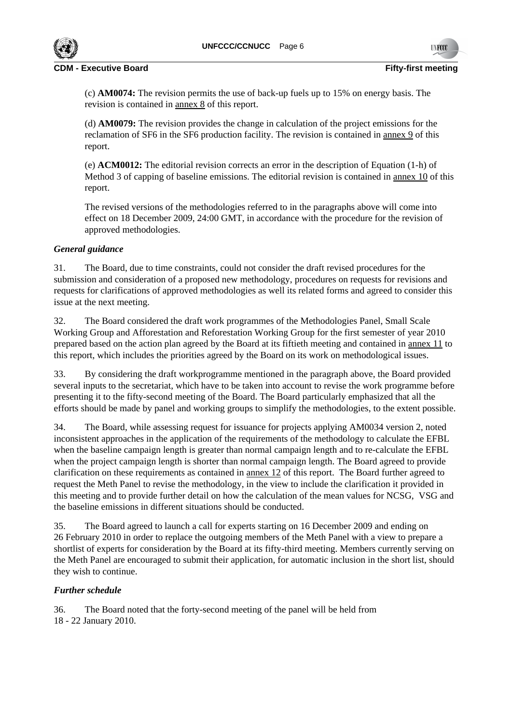

(c) **AM0074:** The revision permits the use of back-up fuels up to 15% on energy basis. The revision is contained in annex 8 of this report.

(d) **AM0079:** The revision provides the change in calculation of the project emissions for the reclamation of SF6 in the SF6 production facility. The revision is contained in annex 9 of this report.

(e) **ACM0012:** The editorial revision corrects an error in the description of Equation (1-h) of Method 3 of capping of baseline emissions. The editorial revision is contained in annex 10 of this report.

The revised versions of the methodologies referred to in the paragraphs above will come into effect on 18 December 2009, 24:00 GMT, in accordance with the procedure for the revision of approved methodologies.

# *General guidance*

31. The Board, due to time constraints, could not consider the draft revised procedures for the submission and consideration of a proposed new methodology, procedures on requests for revisions and requests for clarifications of approved methodologies as well its related forms and agreed to consider this issue at the next meeting.

32. The Board considered the draft work programmes of the Methodologies Panel, Small Scale Working Group and Afforestation and Reforestation Working Group for the first semester of year 2010 prepared based on the action plan agreed by the Board at its fiftieth meeting and contained in annex 11 to this report, which includes the priorities agreed by the Board on its work on methodological issues.

33. By considering the draft workprogramme mentioned in the paragraph above, the Board provided several inputs to the secretariat, which have to be taken into account to revise the work programme before presenting it to the fifty-second meeting of the Board. The Board particularly emphasized that all the efforts should be made by panel and working groups to simplify the methodologies, to the extent possible.

34. The Board, while assessing request for issuance for projects applying AM0034 version 2, noted inconsistent approaches in the application of the requirements of the methodology to calculate the EFBL when the baseline campaign length is greater than normal campaign length and to re-calculate the EFBL when the project campaign length is shorter than normal campaign length. The Board agreed to provide clarification on these requirements as contained in annex 12 of this report. The Board further agreed to request the Meth Panel to revise the methodology, in the view to include the clarification it provided in this meeting and to provide further detail on how the calculation of the mean values for NCSG, VSG and the baseline emissions in different situations should be conducted.

35. The Board agreed to launch a call for experts starting on 16 December 2009 and ending on 26 February 2010 in order to replace the outgoing members of the Meth Panel with a view to prepare a shortlist of experts for consideration by the Board at its fifty-third meeting. Members currently serving on the Meth Panel are encouraged to submit their application, for automatic inclusion in the short list, should they wish to continue.

# *Further schedule*

36. The Board noted that the forty-second meeting of the panel will be held from 18 - 22 January 2010.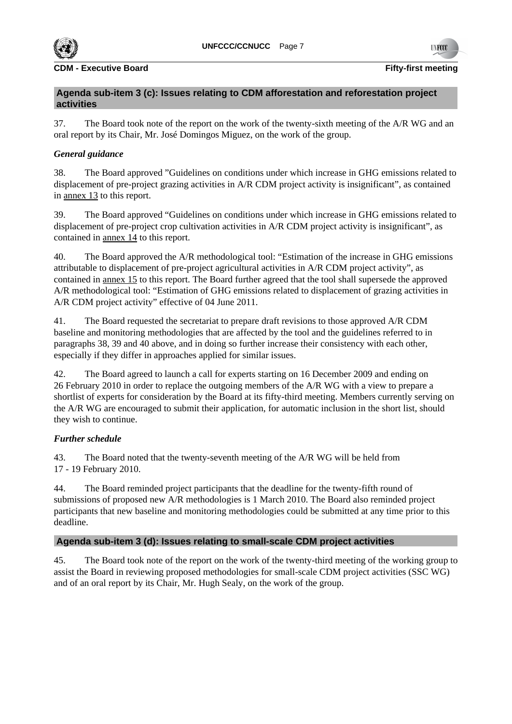

# **Agenda sub-item 3 (c): Issues relating to CDM afforestation and reforestation project activities**

37. The Board took note of the report on the work of the twenty-sixth meeting of the A/R WG and an oral report by its Chair, Mr. José Domingos Miguez, on the work of the group.

# *General guidance*

38. The Board approved "Guidelines on conditions under which increase in GHG emissions related to displacement of pre-project grazing activities in A/R CDM project activity is insignificant", as contained in annex 13 to this report.

39. The Board approved "Guidelines on conditions under which increase in GHG emissions related to displacement of pre-project crop cultivation activities in A/R CDM project activity is insignificant", as contained in annex 14 to this report.

40. The Board approved the A/R methodological tool: "Estimation of the increase in GHG emissions attributable to displacement of pre-project agricultural activities in A/R CDM project activity", as contained in annex 15 to this report. The Board further agreed that the tool shall supersede the approved A/R methodological tool: "Estimation of GHG emissions related to displacement of grazing activities in A/R CDM project activity" effective of 04 June 2011.

41. The Board requested the secretariat to prepare draft revisions to those approved A/R CDM baseline and monitoring methodologies that are affected by the tool and the guidelines referred to in paragraphs 38, 39 and 40 above, and in doing so further increase their consistency with each other, especially if they differ in approaches applied for similar issues.

42. The Board agreed to launch a call for experts starting on 16 December 2009 and ending on 26 February 2010 in order to replace the outgoing members of the A/R WG with a view to prepare a shortlist of experts for consideration by the Board at its fifty-third meeting. Members currently serving on the A/R WG are encouraged to submit their application, for automatic inclusion in the short list, should they wish to continue.

# *Further schedule*

43. The Board noted that the twenty-seventh meeting of the A/R WG will be held from 17 - 19 February 2010.

44. The Board reminded project participants that the deadline for the twenty-fifth round of submissions of proposed new A/R methodologies is 1 March 2010. The Board also reminded project participants that new baseline and monitoring methodologies could be submitted at any time prior to this deadline.

# **Agenda sub-item 3 (d): Issues relating to small-scale CDM project activities**

45. The Board took note of the report on the work of the twenty-third meeting of the working group to assist the Board in reviewing proposed methodologies for small-scale CDM project activities (SSC WG) and of an oral report by its Chair, Mr. Hugh Sealy, on the work of the group.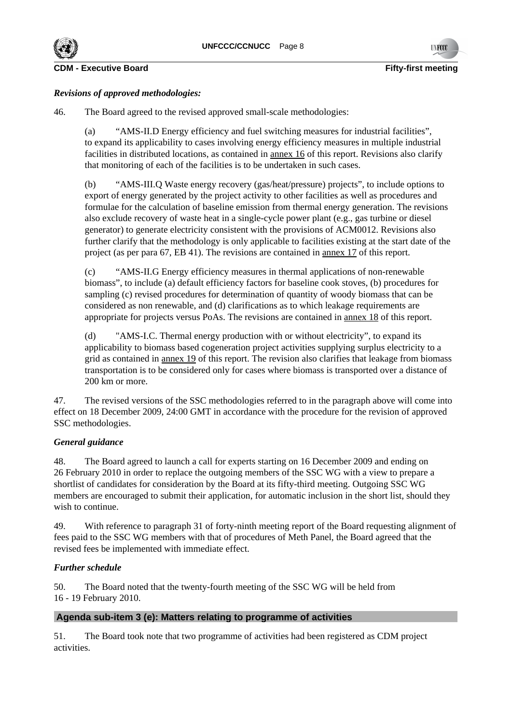



# *Revisions of approved methodologies:*

46. The Board agreed to the revised approved small-scale methodologies:

(a) "AMS-II.D Energy efficiency and fuel switching measures for industrial facilities", to expand its applicability to cases involving energy efficiency measures in multiple industrial facilities in distributed locations, as contained in annex 16 of this report. Revisions also clarify that monitoring of each of the facilities is to be undertaken in such cases.

(b) "AMS-III.Q Waste energy recovery (gas/heat/pressure) projects", to include options to export of energy generated by the project activity to other facilities as well as procedures and formulae for the calculation of baseline emission from thermal energy generation. The revisions also exclude recovery of waste heat in a single-cycle power plant (e.g., gas turbine or diesel generator) to generate electricity consistent with the provisions of ACM0012. Revisions also further clarify that the methodology is only applicable to facilities existing at the start date of the project (as per para 67, EB 41). The revisions are contained in annex 17 of this report.

(c) "AMS-II.G Energy efficiency measures in thermal applications of non-renewable biomass", to include (a) default efficiency factors for baseline cook stoves, (b) procedures for sampling (c) revised procedures for determination of quantity of woody biomass that can be considered as non renewable, and (d) clarifications as to which leakage requirements are appropriate for projects versus PoAs. The revisions are contained in annex 18 of this report.

(d) "AMS-I.C. Thermal energy production with or without electricity", to expand its applicability to biomass based cogeneration project activities supplying surplus electricity to a grid as contained in annex 19 of this report. The revision also clarifies that leakage from biomass transportation is to be considered only for cases where biomass is transported over a distance of 200 km or more.

47. The revised versions of the SSC methodologies referred to in the paragraph above will come into effect on 18 December 2009, 24:00 GMT in accordance with the procedure for the revision of approved SSC methodologies.

# *General guidance*

48. The Board agreed to launch a call for experts starting on 16 December 2009 and ending on 26 February 2010 in order to replace the outgoing members of the SSC WG with a view to prepare a shortlist of candidates for consideration by the Board at its fifty-third meeting. Outgoing SSC WG members are encouraged to submit their application, for automatic inclusion in the short list, should they wish to continue.

49. With reference to paragraph 31 of forty-ninth meeting report of the Board requesting alignment of fees paid to the SSC WG members with that of procedures of Meth Panel, the Board agreed that the revised fees be implemented with immediate effect.

# *Further schedule*

50. The Board noted that the twenty-fourth meeting of the SSC WG will be held from 16 - 19 February 2010.

# **Agenda sub-item 3 (e): Matters relating to programme of activities**

51. The Board took note that two programme of activities had been registered as CDM project activities.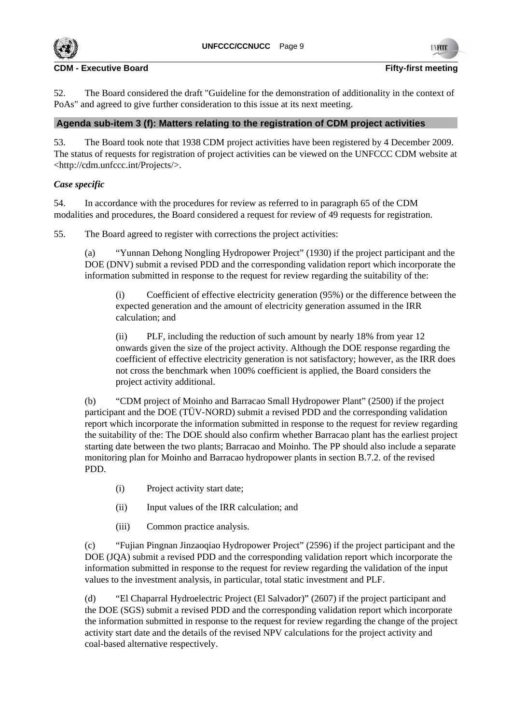

52. The Board considered the draft "Guideline for the demonstration of additionality in the context of PoAs" and agreed to give further consideration to this issue at its next meeting.

# **Agenda sub-item 3 (f): Matters relating to the registration of CDM project activities**

53. The Board took note that 1938 CDM project activities have been registered by 4 December 2009. The status of requests for registration of project activities can be viewed on the UNFCCC CDM website at <http://cdm.unfccc.int/Projects/>.

# *Case specific*

54. In accordance with the procedures for review as referred to in paragraph 65 of the CDM modalities and procedures, the Board considered a request for review of 49 requests for registration.

55. The Board agreed to register with corrections the project activities:

(a) "Yunnan Dehong Nongling Hydropower Project" (1930) if the project participant and the DOE (DNV) submit a revised PDD and the corresponding validation report which incorporate the information submitted in response to the request for review regarding the suitability of the:

(i) Coefficient of effective electricity generation (95%) or the difference between the expected generation and the amount of electricity generation assumed in the IRR calculation; and

(ii) PLF, including the reduction of such amount by nearly 18% from year 12 onwards given the size of the project activity. Although the DOE response regarding the coefficient of effective electricity generation is not satisfactory; however, as the IRR does not cross the benchmark when 100% coefficient is applied, the Board considers the project activity additional.

(b) "CDM project of Moinho and Barracao Small Hydropower Plant" (2500) if the project participant and the DOE (TÜV-NORD) submit a revised PDD and the corresponding validation report which incorporate the information submitted in response to the request for review regarding the suitability of the: The DOE should also confirm whether Barracao plant has the earliest project starting date between the two plants; Barracao and Moinho. The PP should also include a separate monitoring plan for Moinho and Barracao hydropower plants in section B.7.2. of the revised PDD.

- (i) Project activity start date;
- (ii) Input values of the IRR calculation; and
- (iii) Common practice analysis.

(c) "Fujian Pingnan Jinzaoqiao Hydropower Project" (2596) if the project participant and the DOE (JQA) submit a revised PDD and the corresponding validation report which incorporate the information submitted in response to the request for review regarding the validation of the input values to the investment analysis, in particular, total static investment and PLF.

(d) "El Chaparral Hydroelectric Project (El Salvador)" (2607) if the project participant and the DOE (SGS) submit a revised PDD and the corresponding validation report which incorporate the information submitted in response to the request for review regarding the change of the project activity start date and the details of the revised NPV calculations for the project activity and coal-based alternative respectively.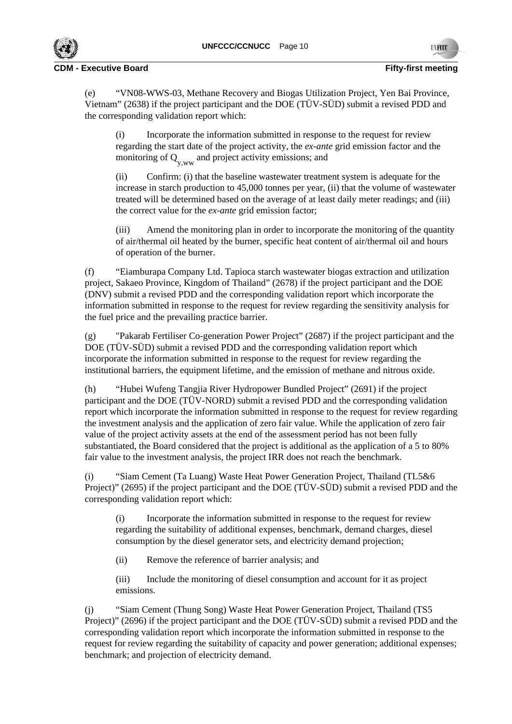

(e) "VN08-WWS-03, Methane Recovery and Biogas Utilization Project, Yen Bai Province, Vietnam" (2638) if the project participant and the DOE (TÜV-SÜD) submit a revised PDD and the corresponding validation report which:

(i) Incorporate the information submitted in response to the request for review regarding the start date of the project activity, the *ex-ante* grid emission factor and the monitoring of  $Q_{y,ww}$  and project activity emissions; and

(ii) Confirm: (i) that the baseline wastewater treatment system is adequate for the increase in starch production to 45,000 tonnes per year, (ii) that the volume of wastewater treated will be determined based on the average of at least daily meter readings; and (iii) the correct value for the *ex-ante* grid emission factor;

(iii) Amend the monitoring plan in order to incorporate the monitoring of the quantity of air/thermal oil heated by the burner, specific heat content of air/thermal oil and hours of operation of the burner.

(f) "Eiamburapa Company Ltd. Tapioca starch wastewater biogas extraction and utilization project, Sakaeo Province, Kingdom of Thailand" (2678) if the project participant and the DOE (DNV) submit a revised PDD and the corresponding validation report which incorporate the information submitted in response to the request for review regarding the sensitivity analysis for the fuel price and the prevailing practice barrier.

(g) "Pakarab Fertiliser Co-generation Power Project" (2687) if the project participant and the DOE (TÜV-SÜD) submit a revised PDD and the corresponding validation report which incorporate the information submitted in response to the request for review regarding the institutional barriers, the equipment lifetime, and the emission of methane and nitrous oxide.

(h) "Hubei Wufeng Tangjia River Hydropower Bundled Project" (2691) if the project participant and the DOE (TÜV-NORD) submit a revised PDD and the corresponding validation report which incorporate the information submitted in response to the request for review regarding the investment analysis and the application of zero fair value. While the application of zero fair value of the project activity assets at the end of the assessment period has not been fully substantiated, the Board considered that the project is additional as the application of a 5 to 80% fair value to the investment analysis, the project IRR does not reach the benchmark.

(i) "Siam Cement (Ta Luang) Waste Heat Power Generation Project, Thailand (TL5&6 Project)" (2695) if the project participant and the DOE (TÜV-SÜD) submit a revised PDD and the corresponding validation report which:

(i) Incorporate the information submitted in response to the request for review regarding the suitability of additional expenses, benchmark, demand charges, diesel consumption by the diesel generator sets, and electricity demand projection;

(ii) Remove the reference of barrier analysis; and

(iii) Include the monitoring of diesel consumption and account for it as project emissions.

(j) "Siam Cement (Thung Song) Waste Heat Power Generation Project, Thailand (TS5 Project)" (2696) if the project participant and the DOE (TÜV-SÜD) submit a revised PDD and the corresponding validation report which incorporate the information submitted in response to the request for review regarding the suitability of capacity and power generation; additional expenses; benchmark; and projection of electricity demand.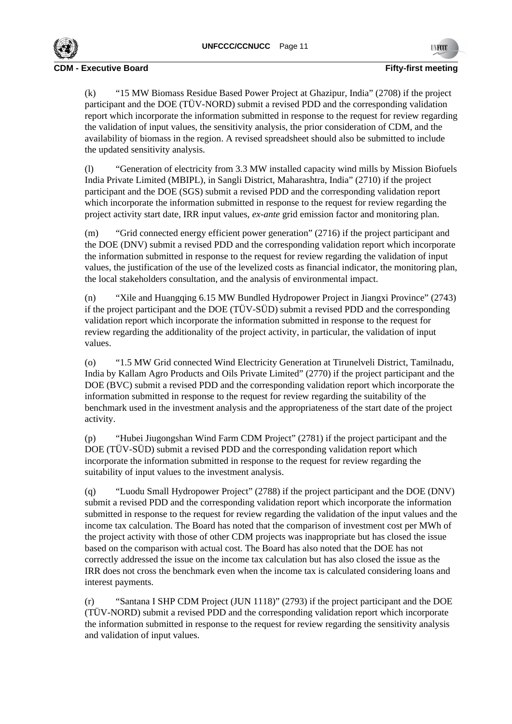

(k) "15 MW Biomass Residue Based Power Project at Ghazipur, India" (2708) if the project participant and the DOE (TÜV-NORD) submit a revised PDD and the corresponding validation report which incorporate the information submitted in response to the request for review regarding the validation of input values, the sensitivity analysis, the prior consideration of CDM, and the availability of biomass in the region. A revised spreadsheet should also be submitted to include the updated sensitivity analysis.

(l) "Generation of electricity from 3.3 MW installed capacity wind mills by Mission Biofuels India Private Limited (MBIPL), in Sangli District, Maharashtra, India" (2710) if the project participant and the DOE (SGS) submit a revised PDD and the corresponding validation report which incorporate the information submitted in response to the request for review regarding the project activity start date, IRR input values, *ex-ante* grid emission factor and monitoring plan.

(m) "Grid connected energy efficient power generation" (2716) if the project participant and the DOE (DNV) submit a revised PDD and the corresponding validation report which incorporate the information submitted in response to the request for review regarding the validation of input values, the justification of the use of the levelized costs as financial indicator, the monitoring plan, the local stakeholders consultation, and the analysis of environmental impact.

(n) "Xile and Huangqing 6.15 MW Bundled Hydropower Project in Jiangxi Province" (2743) if the project participant and the DOE (TÜV-SÜD) submit a revised PDD and the corresponding validation report which incorporate the information submitted in response to the request for review regarding the additionality of the project activity, in particular, the validation of input values.

(o) "1.5 MW Grid connected Wind Electricity Generation at Tirunelveli District, Tamilnadu, India by Kallam Agro Products and Oils Private Limited" (2770) if the project participant and the DOE (BVC) submit a revised PDD and the corresponding validation report which incorporate the information submitted in response to the request for review regarding the suitability of the benchmark used in the investment analysis and the appropriateness of the start date of the project activity.

(p) "Hubei Jiugongshan Wind Farm CDM Project" (2781) if the project participant and the DOE (TÜV-SÜD) submit a revised PDD and the corresponding validation report which incorporate the information submitted in response to the request for review regarding the suitability of input values to the investment analysis.

(q) "Luodu Small Hydropower Project" (2788) if the project participant and the DOE (DNV) submit a revised PDD and the corresponding validation report which incorporate the information submitted in response to the request for review regarding the validation of the input values and the income tax calculation. The Board has noted that the comparison of investment cost per MWh of the project activity with those of other CDM projects was inappropriate but has closed the issue based on the comparison with actual cost. The Board has also noted that the DOE has not correctly addressed the issue on the income tax calculation but has also closed the issue as the IRR does not cross the benchmark even when the income tax is calculated considering loans and interest payments.

(r) "Santana I SHP CDM Project (JUN 1118)" (2793) if the project participant and the DOE (TÜV-NORD) submit a revised PDD and the corresponding validation report which incorporate the information submitted in response to the request for review regarding the sensitivity analysis and validation of input values.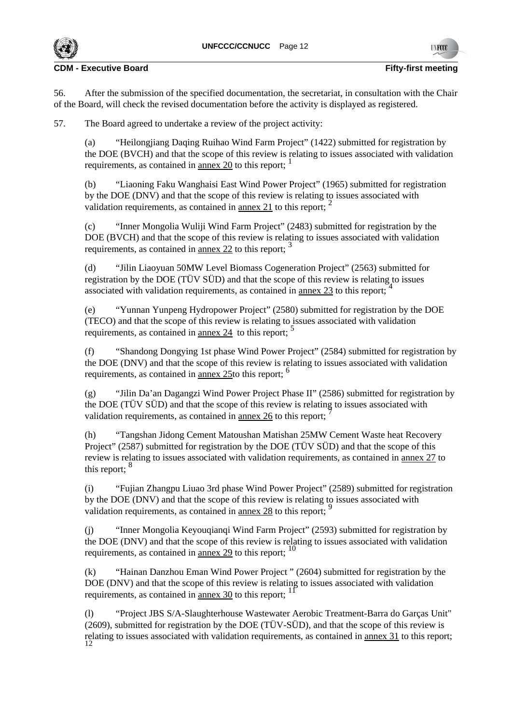56. After the submission of the specified documentation, the secretariat, in consultation with the Chair of the Board, will check the revised documentation before the activity is displayed as registered.

57. The Board agreed to undertake a review of the project activity:

(a) "Heilongjiang Daqing Ruihao Wind Farm Project" (1422) submitted for registration by the DOE (BVCH) and that the scope of this review is relating to issues associated with validation requirements, as contained in annex 20 to this report;

(b) "Liaoning Faku Wanghaisi East Wind Power Project" (1965) submitted for registration by the DOE (DNV) and that the scope of this review is relating to issues associated with validation requirements, as contained in annex 21 to this report;  $<sup>2</sup>$ </sup>

(c) "Inner Mongolia Wuliji Wind Farm Project" (2483) submitted for registration by the DOE (BVCH) and that the scope of this review is relating to issues associated with validation requirements, as contained in annex 22 to this report;  $\frac{3}{2}$ 

(d) "Jilin Liaoyuan 50MW Level Biomass Cogeneration Project" (2563) submitted for registration by the DOE (TÜV SÜD) and that the scope of this review is relating to issues associated with validation requirements, as contained in annex 23 to this report;

(e) "Yunnan Yunpeng Hydropower Project" (2580) submitted for registration by the DOE (TECO) and that the scope of this review is relating to issues associated with validation requirements, as contained in <u>annex 24</u> to this report;  $\frac{5}{2}$ 

(f) "Shandong Dongying 1st phase Wind Power Project" (2584) submitted for registration by the DOE (DNV) and that the scope of this review is relating to issues associated with validation requirements, as contained in annex 25to this report: <sup>6</sup>

(g) "Jilin Da'an Dagangzi Wind Power Project Phase II" (2586) submitted for registration by the DOE (TÜV SÜD) and that the scope of this review is relating to issues associated with validation requirements, as contained in annex 26 to this report;

(h) "Tangshan Jidong Cement Matoushan Matishan 25MW Cement Waste heat Recovery Project" (2587) submitted for registration by the DOE (TÜV SÜD) and that the scope of this review is relating to issues associated with validation requirements, as contained in annex 27 to this report: <sup>8</sup>

(i) "Fujian Zhangpu Liuao 3rd phase Wind Power Project" (2589) submitted for registration by the DOE (DNV) and that the scope of this review is relating to issues associated with validation requirements, as contained in annex 28 to this report;

(j) "Inner Mongolia Keyouqianqi Wind Farm Project" (2593) submitted for registration by the DOE (DNV) and that the scope of this review is relating to issues associated with validation requirements, as contained in <u>annex 29</u> to this report;  $^{10}$ 

(k) "Hainan Danzhou Eman Wind Power Project " (2604) submitted for registration by the DOE (DNV) and that the scope of this review is relating to issues associated with validation requirements, as contained in <u>annex 30</u> to this report;  $1<sup>1</sup>$ 

(l) "Project JBS S/A-Slaughterhouse Wastewater Aerobic Treatment-Barra do Garças Unit" (2609), submitted for registration by the DOE (TÜV-SÜD), and that the scope of this review is relating to issues associated with validation requirements, as contained in <u>annex 31</u> to this report;

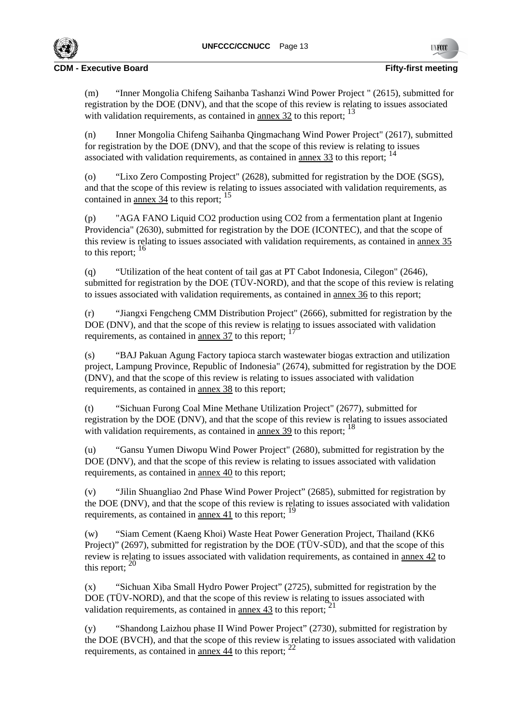

(m) "Inner Mongolia Chifeng Saihanba Tashanzi Wind Power Project " (2615), submitted for registration by the DOE (DNV), and that the scope of this review is relating to issues associated with validation requirements, as contained in annex 32 to this report;  $^{13}$ 

(n) Inner Mongolia Chifeng Saihanba Qingmachang Wind Power Project" (2617), submitted for registration by the DOE (DNV), and that the scope of this review is relating to issues associated with validation requirements, as contained in annex 33 to this report; <sup>14</sup>

(o) "Lixo Zero Composting Project" (2628), submitted for registration by the DOE (SGS), and that the scope of this review is relating to issues associated with validation requirements, as contained in <u>annex 34</u> to this report; <sup>15</sup>

(p) "AGA FANO Liquid CO2 production using CO2 from a fermentation plant at Ingenio Providencia" (2630), submitted for registration by the DOE (ICONTEC), and that the scope of this review is relating to issues associated with validation requirements, as contained in annex 35 to this report:  $16$ 

(q) "Utilization of the heat content of tail gas at PT Cabot Indonesia, Cilegon" (2646), submitted for registration by the DOE (TÜV-NORD), and that the scope of this review is relating to issues associated with validation requirements, as contained in annex 36 to this report;

(r) "Jiangxi Fengcheng CMM Distribution Project" (2666), submitted for registration by the DOE (DNV), and that the scope of this review is relating to issues associated with validation requirements, as contained in annex 37 to this report; <sup>17</sup>

(s) "BAJ Pakuan Agung Factory tapioca starch wastewater biogas extraction and utilization project, Lampung Province, Republic of Indonesia" (2674), submitted for registration by the DOE (DNV), and that the scope of this review is relating to issues associated with validation requirements, as contained in annex 38 to this report;

(t) "Sichuan Furong Coal Mine Methane Utilization Project" (2677), submitted for registration by the DOE (DNV), and that the scope of this review is relating to issues associated with validation requirements, as contained in <u>annex 39</u> to this report;  $^{18}$ 

(u) "Gansu Yumen Diwopu Wind Power Project" (2680), submitted for registration by the DOE (DNV), and that the scope of this review is relating to issues associated with validation requirements, as contained in annex 40 to this report;

(v) "Jilin Shuangliao 2nd Phase Wind Power Project" (2685), submitted for registration by the DOE (DNV), and that the scope of this review is relating to issues associated with validation requirements, as contained in annex 41 to this report; <sup>19</sup>

(w) "Siam Cement (Kaeng Khoi) Waste Heat Power Generation Project, Thailand (KK6 Project)" (2697), submitted for registration by the DOE (TÜV-SÜD), and that the scope of this review is relating to issues associated with validation requirements, as contained in annex 42 to this report:  $^{20}$ 

(x) "Sichuan Xiba Small Hydro Power Project" (2725), submitted for registration by the DOE (TÜV-NORD), and that the scope of this review is relating to issues associated with validation requirements, as contained in annex 43 to this report;  $^{21}$ 

(y) "Shandong Laizhou phase II Wind Power Project" (2730), submitted for registration by the DOE (BVCH), and that the scope of this review is relating to issues associated with validation requirements, as contained in annex 44 to this report;  $^{22}$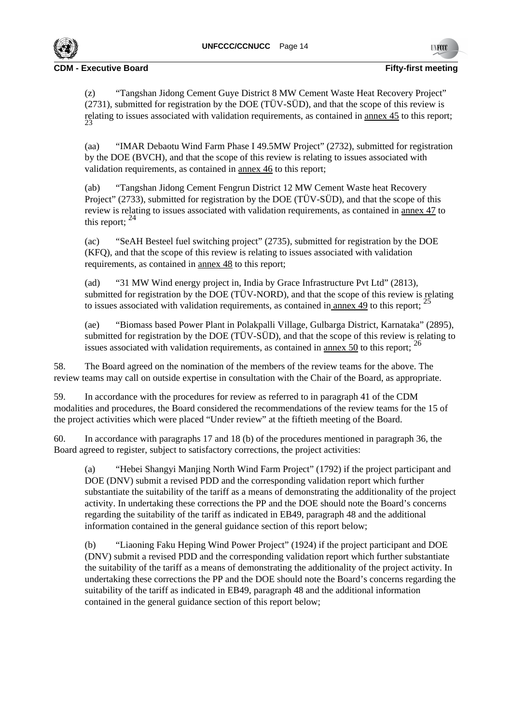

(z) "Tangshan Jidong Cement Guye District 8 MW Cement Waste Heat Recovery Project" (2731), submitted for registration by the DOE (TÜV-SÜD), and that the scope of this review is relating to issues associated with validation requirements, as contained in <u>annex 45</u> to this report;<br><sup>23</sup>

(aa) "IMAR Debaotu Wind Farm Phase I 49.5MW Project" (2732), submitted for registration by the DOE (BVCH), and that the scope of this review is relating to issues associated with validation requirements, as contained in annex 46 to this report;

(ab) "Tangshan Jidong Cement Fengrun District 12 MW Cement Waste heat Recovery Project" (2733), submitted for registration by the DOE (TÜV-SÜD), and that the scope of this review is relating to issues associated with validation requirements, as contained in annex 47 to this report;  $^{24}$ 

(ac) "SeAH Besteel fuel switching project" (2735), submitted for registration by the DOE (KFQ), and that the scope of this review is relating to issues associated with validation requirements, as contained in annex 48 to this report;

(ad) "31 MW Wind energy project in, India by Grace Infrastructure Pvt Ltd" (2813), submitted for registration by the DOE (TÜV-NORD), and that the scope of this review is relating to issues associated with validation requirements, as contained in annex  $49$  to this report; <sup>25</sup>

(ae) "Biomass based Power Plant in Polakpalli Village, Gulbarga District, Karnataka" (2895), submitted for registration by the DOE (TÜV-SÜD), and that the scope of this review is relating to issues associated with validation requirements, as contained in annex 50 to this report;  $^{26}$ 

58. The Board agreed on the nomination of the members of the review teams for the above. The review teams may call on outside expertise in consultation with the Chair of the Board, as appropriate.

59. In accordance with the procedures for review as referred to in paragraph 41 of the CDM modalities and procedures, the Board considered the recommendations of the review teams for the 15 of the project activities which were placed "Under review" at the fiftieth meeting of the Board.

60. In accordance with paragraphs 17 and 18 (b) of the procedures mentioned in paragraph 36, the Board agreed to register, subject to satisfactory corrections, the project activities:

(a) "Hebei Shangyi Manjing North Wind Farm Project" (1792) if the project participant and DOE (DNV) submit a revised PDD and the corresponding validation report which further substantiate the suitability of the tariff as a means of demonstrating the additionality of the project activity. In undertaking these corrections the PP and the DOE should note the Board's concerns regarding the suitability of the tariff as indicated in EB49, paragraph 48 and the additional information contained in the general guidance section of this report below;

(b) "Liaoning Faku Heping Wind Power Project" (1924) if the project participant and DOE (DNV) submit a revised PDD and the corresponding validation report which further substantiate the suitability of the tariff as a means of demonstrating the additionality of the project activity. In undertaking these corrections the PP and the DOE should note the Board's concerns regarding the suitability of the tariff as indicated in EB49, paragraph 48 and the additional information contained in the general guidance section of this report below;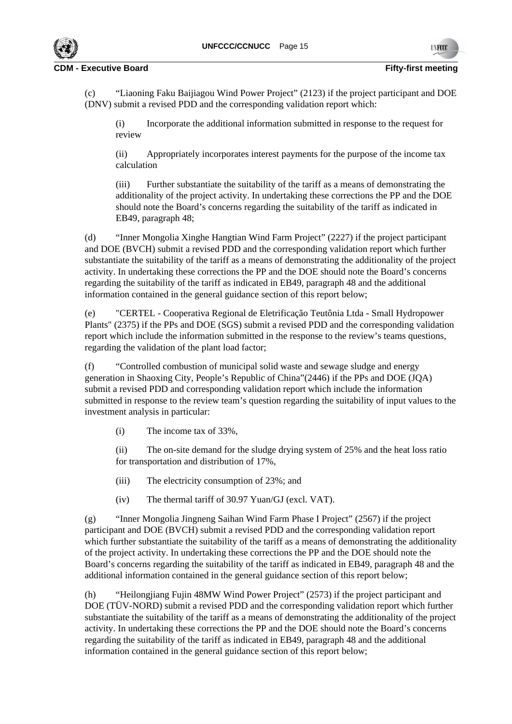

(c) "Liaoning Faku Baijiagou Wind Power Project" (2123) if the project participant and DOE (DNV) submit a revised PDD and the corresponding validation report which:

(i) Incorporate the additional information submitted in response to the request for review

(ii) Appropriately incorporates interest payments for the purpose of the income tax calculation

(iii) Further substantiate the suitability of the tariff as a means of demonstrating the additionality of the project activity. In undertaking these corrections the PP and the DOE should note the Board's concerns regarding the suitability of the tariff as indicated in EB49, paragraph 48;

(d) "Inner Mongolia Xinghe Hangtian Wind Farm Project" (2227) if the project participant and DOE (BVCH) submit a revised PDD and the corresponding validation report which further substantiate the suitability of the tariff as a means of demonstrating the additionality of the project activity. In undertaking these corrections the PP and the DOE should note the Board's concerns regarding the suitability of the tariff as indicated in EB49, paragraph 48 and the additional information contained in the general guidance section of this report below;

(e) "CERTEL - Cooperativa Regional de Eletrificação Teutônia Ltda - Small Hydropower Plants" (2375) if the PPs and DOE (SGS) submit a revised PDD and the corresponding validation report which include the information submitted in the response to the review's teams questions, regarding the validation of the plant load factor;

(f) "Controlled combustion of municipal solid waste and sewage sludge and energy generation in Shaoxing City, People's Republic of China"(2446) if the PPs and DOE (JQA) submit a revised PDD and corresponding validation report which include the information submitted in response to the review team's question regarding the suitability of input values to the investment analysis in particular:

(i) The income tax of 33%,

(ii) The on-site demand for the sludge drying system of 25% and the heat loss ratio for transportation and distribution of 17%,

- (iii) The electricity consumption of 23%; and
- (iv) The thermal tariff of 30.97 Yuan/GJ (excl. VAT).

(g) "Inner Mongolia Jingneng Saihan Wind Farm Phase I Project" (2567) if the project participant and DOE (BVCH) submit a revised PDD and the corresponding validation report which further substantiate the suitability of the tariff as a means of demonstrating the additionality of the project activity. In undertaking these corrections the PP and the DOE should note the Board's concerns regarding the suitability of the tariff as indicated in EB49, paragraph 48 and the additional information contained in the general guidance section of this report below;

(h) "Heilongjiang Fujin 48MW Wind Power Project" (2573) if the project participant and DOE (TÜV-NORD) submit a revised PDD and the corresponding validation report which further substantiate the suitability of the tariff as a means of demonstrating the additionality of the project activity. In undertaking these corrections the PP and the DOE should note the Board's concerns regarding the suitability of the tariff as indicated in EB49, paragraph 48 and the additional information contained in the general guidance section of this report below;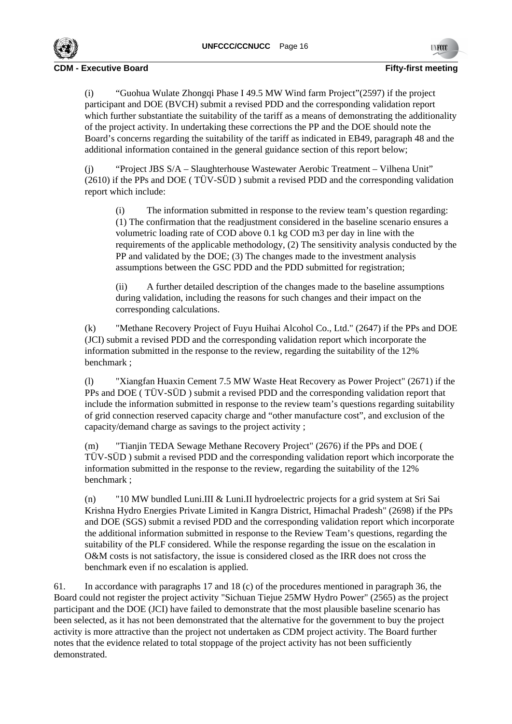

(i) "Guohua Wulate Zhongqi Phase I 49.5 MW Wind farm Project"(2597) if the project participant and DOE (BVCH) submit a revised PDD and the corresponding validation report which further substantiate the suitability of the tariff as a means of demonstrating the additionality of the project activity. In undertaking these corrections the PP and the DOE should note the Board's concerns regarding the suitability of the tariff as indicated in EB49, paragraph 48 and the additional information contained in the general guidance section of this report below;

(j) "Project JBS S/A – Slaughterhouse Wastewater Aerobic Treatment – Vilhena Unit" (2610) if the PPs and DOE ( TÜV-SÜD ) submit a revised PDD and the corresponding validation report which include:

(i) The information submitted in response to the review team's question regarding: (1) The confirmation that the readjustment considered in the baseline scenario ensures a volumetric loading rate of COD above 0.1 kg COD m3 per day in line with the requirements of the applicable methodology, (2) The sensitivity analysis conducted by the PP and validated by the DOE; (3) The changes made to the investment analysis assumptions between the GSC PDD and the PDD submitted for registration;

(ii) A further detailed description of the changes made to the baseline assumptions during validation, including the reasons for such changes and their impact on the corresponding calculations.

(k) "Methane Recovery Project of Fuyu Huihai Alcohol Co., Ltd." (2647) if the PPs and DOE (JCI) submit a revised PDD and the corresponding validation report which incorporate the information submitted in the response to the review, regarding the suitability of the 12% benchmark ;

(l) "Xiangfan Huaxin Cement 7.5 MW Waste Heat Recovery as Power Project" (2671) if the PPs and DOE ( TÜV-SÜD ) submit a revised PDD and the corresponding validation report that include the information submitted in response to the review team's questions regarding suitability of grid connection reserved capacity charge and "other manufacture cost", and exclusion of the capacity/demand charge as savings to the project activity ;

(m) "Tianjin TEDA Sewage Methane Recovery Project" (2676) if the PPs and DOE ( TÜV-SÜD ) submit a revised PDD and the corresponding validation report which incorporate the information submitted in the response to the review, regarding the suitability of the 12% benchmark ;

(n) "10 MW bundled Luni.III & Luni.II hydroelectric projects for a grid system at Sri Sai Krishna Hydro Energies Private Limited in Kangra District, Himachal Pradesh" (2698) if the PPs and DOE (SGS) submit a revised PDD and the corresponding validation report which incorporate the additional information submitted in response to the Review Team's questions, regarding the suitability of the PLF considered. While the response regarding the issue on the escalation in O&M costs is not satisfactory, the issue is considered closed as the IRR does not cross the benchmark even if no escalation is applied.

61. In accordance with paragraphs 17 and 18 (c) of the procedures mentioned in paragraph 36, the Board could not register the project activity "Sichuan Tiejue 25MW Hydro Power" (2565) as the project participant and the DOE (JCI) have failed to demonstrate that the most plausible baseline scenario has been selected, as it has not been demonstrated that the alternative for the government to buy the project activity is more attractive than the project not undertaken as CDM project activity. The Board further notes that the evidence related to total stoppage of the project activity has not been sufficiently demonstrated.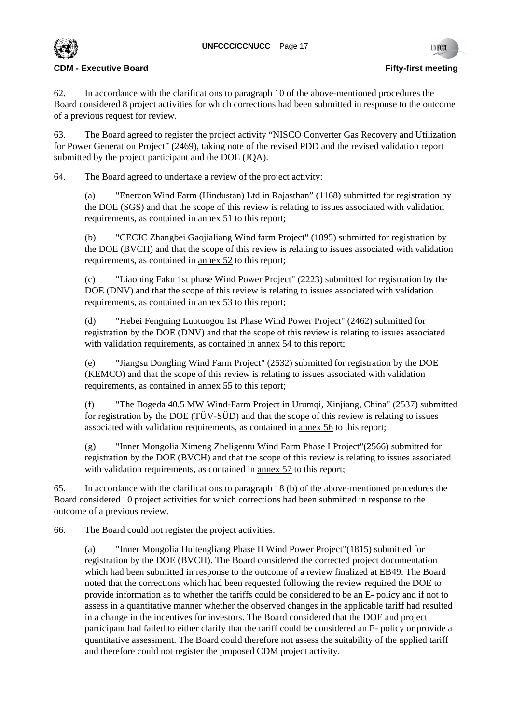

62. In accordance with the clarifications to paragraph 10 of the above-mentioned procedures the Board considered 8 project activities for which corrections had been submitted in response to the outcome of a previous request for review.

63. The Board agreed to register the project activity "NISCO Converter Gas Recovery and Utilization for Power Generation Project" (2469), taking note of the revised PDD and the revised validation report submitted by the project participant and the DOE (JOA).

64. The Board agreed to undertake a review of the project activity:

(a) "Enercon Wind Farm (Hindustan) Ltd in Rajasthan" (1168) submitted for registration by the DOE (SGS) and that the scope of this review is relating to issues associated with validation requirements, as contained in annex 51 to this report;

(b) "CECIC Zhangbei Gaojialiang Wind farm Project" (1895) submitted for registration by the DOE (BVCH) and that the scope of this review is relating to issues associated with validation requirements, as contained in annex 52 to this report;

(c) "Liaoning Faku 1st phase Wind Power Project" (2223) submitted for registration by the DOE (DNV) and that the scope of this review is relating to issues associated with validation requirements, as contained in annex 53 to this report;

(d) "Hebei Fengning Luotuogou 1st Phase Wind Power Project" (2462) submitted for registration by the DOE (DNV) and that the scope of this review is relating to issues associated with validation requirements, as contained in annex 54 to this report;

(e) "Jiangsu Dongling Wind Farm Project" (2532) submitted for registration by the DOE (KEMCO) and that the scope of this review is relating to issues associated with validation requirements, as contained in annex 55 to this report;

(f) "The Bogeda 40.5 MW Wind-Farm Project in Urumqi, Xinjiang, China" (2537) submitted for registration by the DOE (TÜV-SÜD) and that the scope of this review is relating to issues associated with validation requirements, as contained in annex 56 to this report;

(g) "Inner Mongolia Ximeng Zheligentu Wind Farm Phase I Project"(2566) submitted for registration by the DOE (BVCH) and that the scope of this review is relating to issues associated with validation requirements, as contained in <u>annex 57</u> to this report;

65. In accordance with the clarifications to paragraph 18 (b) of the above-mentioned procedures the Board considered 10 project activities for which corrections had been submitted in response to the outcome of a previous review.

66. The Board could not register the project activities:

(a) "Inner Mongolia Huitengliang Phase II Wind Power Project"(1815) submitted for registration by the DOE (BVCH). The Board considered the corrected project documentation which had been submitted in response to the outcome of a review finalized at EB49. The Board noted that the corrections which had been requested following the review required the DOE to provide information as to whether the tariffs could be considered to be an E- policy and if not to assess in a quantitative manner whether the observed changes in the applicable tariff had resulted in a change in the incentives for investors. The Board considered that the DOE and project participant had failed to either clarify that the tariff could be considered an E- policy or provide a quantitative assessment. The Board could therefore not assess the suitability of the applied tariff and therefore could not register the proposed CDM project activity.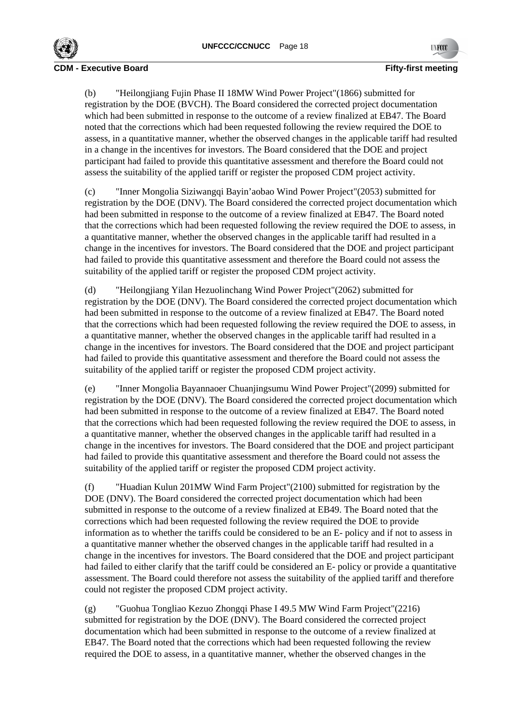

(b) "Heilongjiang Fujin Phase II 18MW Wind Power Project"(1866) submitted for registration by the DOE (BVCH). The Board considered the corrected project documentation which had been submitted in response to the outcome of a review finalized at EB47. The Board noted that the corrections which had been requested following the review required the DOE to assess, in a quantitative manner, whether the observed changes in the applicable tariff had resulted in a change in the incentives for investors. The Board considered that the DOE and project participant had failed to provide this quantitative assessment and therefore the Board could not assess the suitability of the applied tariff or register the proposed CDM project activity.

(c) "Inner Mongolia Siziwangqi Bayin'aobao Wind Power Project"(2053) submitted for registration by the DOE (DNV). The Board considered the corrected project documentation which had been submitted in response to the outcome of a review finalized at EB47. The Board noted that the corrections which had been requested following the review required the DOE to assess, in a quantitative manner, whether the observed changes in the applicable tariff had resulted in a change in the incentives for investors. The Board considered that the DOE and project participant had failed to provide this quantitative assessment and therefore the Board could not assess the suitability of the applied tariff or register the proposed CDM project activity.

(d) "Heilongjiang Yilan Hezuolinchang Wind Power Project"(2062) submitted for registration by the DOE (DNV). The Board considered the corrected project documentation which had been submitted in response to the outcome of a review finalized at EB47. The Board noted that the corrections which had been requested following the review required the DOE to assess, in a quantitative manner, whether the observed changes in the applicable tariff had resulted in a change in the incentives for investors. The Board considered that the DOE and project participant had failed to provide this quantitative assessment and therefore the Board could not assess the suitability of the applied tariff or register the proposed CDM project activity.

(e) "Inner Mongolia Bayannaoer Chuanjingsumu Wind Power Project"(2099) submitted for registration by the DOE (DNV). The Board considered the corrected project documentation which had been submitted in response to the outcome of a review finalized at EB47. The Board noted that the corrections which had been requested following the review required the DOE to assess, in a quantitative manner, whether the observed changes in the applicable tariff had resulted in a change in the incentives for investors. The Board considered that the DOE and project participant had failed to provide this quantitative assessment and therefore the Board could not assess the suitability of the applied tariff or register the proposed CDM project activity.

(f) "Huadian Kulun 201MW Wind Farm Project"(2100) submitted for registration by the DOE (DNV). The Board considered the corrected project documentation which had been submitted in response to the outcome of a review finalized at EB49. The Board noted that the corrections which had been requested following the review required the DOE to provide information as to whether the tariffs could be considered to be an E- policy and if not to assess in a quantitative manner whether the observed changes in the applicable tariff had resulted in a change in the incentives for investors. The Board considered that the DOE and project participant had failed to either clarify that the tariff could be considered an E- policy or provide a quantitative assessment. The Board could therefore not assess the suitability of the applied tariff and therefore could not register the proposed CDM project activity.

(g) "Guohua Tongliao Kezuo Zhongqi Phase I 49.5 MW Wind Farm Project"(2216) submitted for registration by the DOE (DNV). The Board considered the corrected project documentation which had been submitted in response to the outcome of a review finalized at EB47. The Board noted that the corrections which had been requested following the review required the DOE to assess, in a quantitative manner, whether the observed changes in the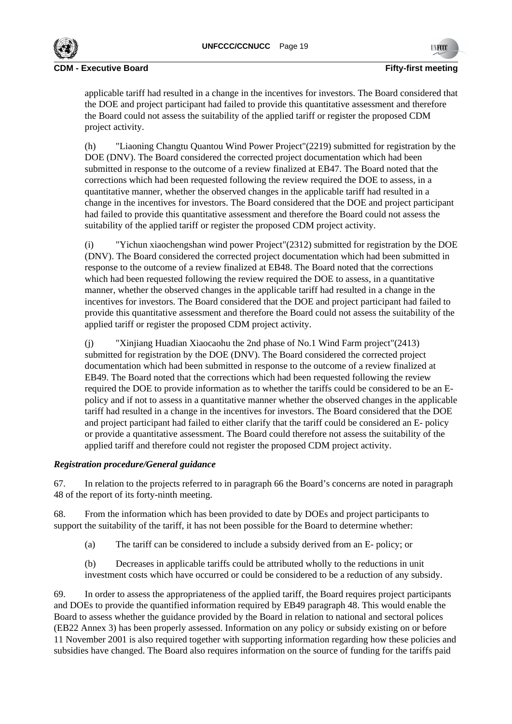

applicable tariff had resulted in a change in the incentives for investors. The Board considered that the DOE and project participant had failed to provide this quantitative assessment and therefore the Board could not assess the suitability of the applied tariff or register the proposed CDM project activity.

(h) "Liaoning Changtu Quantou Wind Power Project"(2219) submitted for registration by the DOE (DNV). The Board considered the corrected project documentation which had been submitted in response to the outcome of a review finalized at EB47. The Board noted that the corrections which had been requested following the review required the DOE to assess, in a quantitative manner, whether the observed changes in the applicable tariff had resulted in a change in the incentives for investors. The Board considered that the DOE and project participant had failed to provide this quantitative assessment and therefore the Board could not assess the suitability of the applied tariff or register the proposed CDM project activity.

(i) "Yichun xiaochengshan wind power Project"(2312) submitted for registration by the DOE (DNV). The Board considered the corrected project documentation which had been submitted in response to the outcome of a review finalized at EB48. The Board noted that the corrections which had been requested following the review required the DOE to assess, in a quantitative manner, whether the observed changes in the applicable tariff had resulted in a change in the incentives for investors. The Board considered that the DOE and project participant had failed to provide this quantitative assessment and therefore the Board could not assess the suitability of the applied tariff or register the proposed CDM project activity.

(j) "Xinjiang Huadian Xiaocaohu the 2nd phase of No.1 Wind Farm project"(2413) submitted for registration by the DOE (DNV). The Board considered the corrected project documentation which had been submitted in response to the outcome of a review finalized at EB49. The Board noted that the corrections which had been requested following the review required the DOE to provide information as to whether the tariffs could be considered to be an Epolicy and if not to assess in a quantitative manner whether the observed changes in the applicable tariff had resulted in a change in the incentives for investors. The Board considered that the DOE and project participant had failed to either clarify that the tariff could be considered an E- policy or provide a quantitative assessment. The Board could therefore not assess the suitability of the applied tariff and therefore could not register the proposed CDM project activity.

# *Registration procedure/General guidance*

67. In relation to the projects referred to in paragraph 66 the Board's concerns are noted in paragraph 48 of the report of its forty-ninth meeting.

68. From the information which has been provided to date by DOEs and project participants to support the suitability of the tariff, it has not been possible for the Board to determine whether:

(a) The tariff can be considered to include a subsidy derived from an E- policy; or

(b) Decreases in applicable tariffs could be attributed wholly to the reductions in unit investment costs which have occurred or could be considered to be a reduction of any subsidy.

69. In order to assess the appropriateness of the applied tariff, the Board requires project participants and DOEs to provide the quantified information required by EB49 paragraph 48. This would enable the Board to assess whether the guidance provided by the Board in relation to national and sectoral polices (EB22 Annex 3) has been properly assessed. Information on any policy or subsidy existing on or before 11 November 2001 is also required together with supporting information regarding how these policies and subsidies have changed. The Board also requires information on the source of funding for the tariffs paid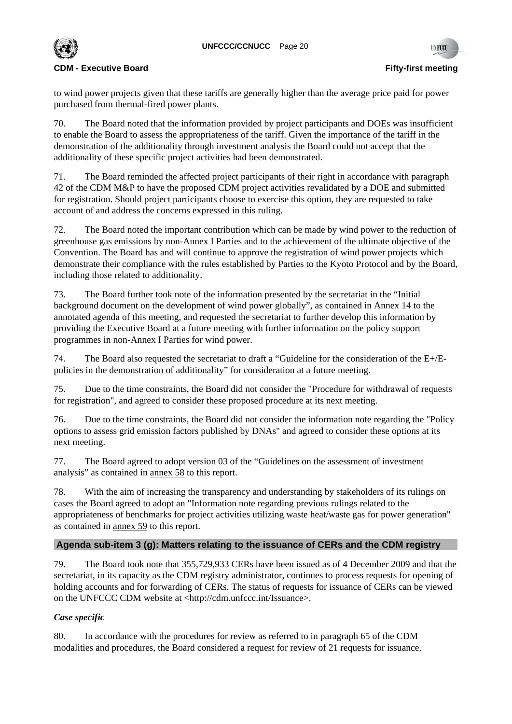

to wind power projects given that these tariffs are generally higher than the average price paid for power purchased from thermal-fired power plants.

70. The Board noted that the information provided by project participants and DOEs was insufficient to enable the Board to assess the appropriateness of the tariff. Given the importance of the tariff in the demonstration of the additionality through investment analysis the Board could not accept that the additionality of these specific project activities had been demonstrated.

71. The Board reminded the affected project participants of their right in accordance with paragraph 42 of the CDM M&P to have the proposed CDM project activities revalidated by a DOE and submitted for registration. Should project participants choose to exercise this option, they are requested to take account of and address the concerns expressed in this ruling.

72. The Board noted the important contribution which can be made by wind power to the reduction of greenhouse gas emissions by non-Annex I Parties and to the achievement of the ultimate objective of the Convention. The Board has and will continue to approve the registration of wind power projects which demonstrate their compliance with the rules established by Parties to the Kyoto Protocol and by the Board, including those related to additionality.

73. The Board further took note of the information presented by the secretariat in the "Initial background document on the development of wind power globally", as contained in Annex 14 to the annotated agenda of this meeting, and requested the secretariat to further develop this information by providing the Executive Board at a future meeting with further information on the policy support programmes in non-Annex I Parties for wind power.

74. The Board also requested the secretariat to draft a "Guideline for the consideration of the E+/Epolicies in the demonstration of additionality" for consideration at a future meeting.

75. Due to the time constraints, the Board did not consider the "Procedure for withdrawal of requests for registration", and agreed to consider these proposed procedure at its next meeting.

76. Due to the time constraints, the Board did not consider the information note regarding the "Policy options to assess grid emission factors published by DNAs" and agreed to consider these options at its next meeting.

77. The Board agreed to adopt version 03 of the "Guidelines on the assessment of investment analysis" as contained in annex 58 to this report.

78. With the aim of increasing the transparency and understanding by stakeholders of its rulings on cases the Board agreed to adopt an "Information note regarding previous rulings related to the appropriateness of benchmarks for project activities utilizing waste heat/waste gas for power generation" as contained in annex 59 to this report.

# **Agenda sub-item 3 (g): Matters relating to the issuance of CERs and the CDM registry**

79. The Board took note that 355,729,933 CERs have been issued as of 4 December 2009 and that the secretariat, in its capacity as the CDM registry administrator, continues to process requests for opening of holding accounts and for forwarding of CERs. The status of requests for issuance of CERs can be viewed on the UNFCCC CDM website at <http://cdm.unfccc.int/Issuance>.

# *Case specific*

80. In accordance with the procedures for review as referred to in paragraph 65 of the CDM modalities and procedures, the Board considered a request for review of 21 requests for issuance.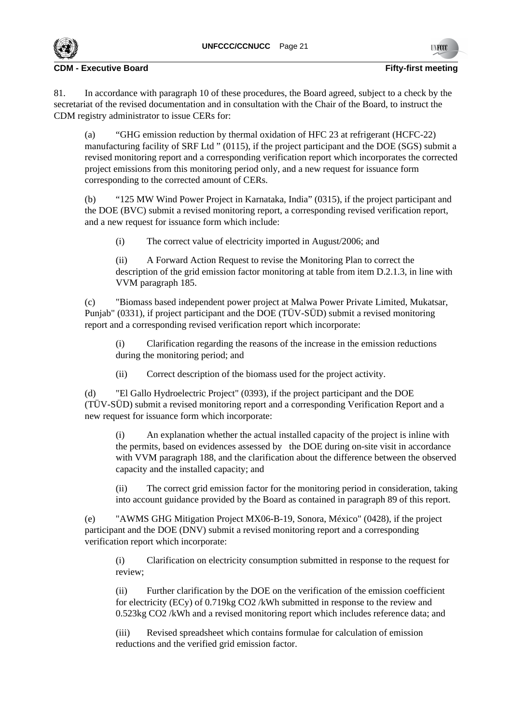

81. In accordance with paragraph 10 of these procedures, the Board agreed, subject to a check by the secretariat of the revised documentation and in consultation with the Chair of the Board, to instruct the CDM registry administrator to issue CERs for:

(a) "GHG emission reduction by thermal oxidation of HFC 23 at refrigerant (HCFC-22) manufacturing facility of SRF Ltd " (0115), if the project participant and the DOE (SGS) submit a revised monitoring report and a corresponding verification report which incorporates the corrected project emissions from this monitoring period only, and a new request for issuance form corresponding to the corrected amount of CERs.

(b) "125 MW Wind Power Project in Karnataka, India" (0315), if the project participant and the DOE (BVC) submit a revised monitoring report, a corresponding revised verification report, and a new request for issuance form which include:

(i) The correct value of electricity imported in August/2006; and

(ii) A Forward Action Request to revise the Monitoring Plan to correct the description of the grid emission factor monitoring at table from item D.2.1.3, in line with VVM paragraph 185.

(c) "Biomass based independent power project at Malwa Power Private Limited, Mukatsar, Punjab" (0331), if project participant and the DOE (TÜV-SÜD) submit a revised monitoring report and a corresponding revised verification report which incorporate:

(i) Clarification regarding the reasons of the increase in the emission reductions during the monitoring period; and

(ii) Correct description of the biomass used for the project activity.

(d) "El Gallo Hydroelectric Project" (0393), if the project participant and the DOE (TÜV-SÜD) submit a revised monitoring report and a corresponding Verification Report and a new request for issuance form which incorporate:

(i) An explanation whether the actual installed capacity of the project is inline with the permits, based on evidences assessed by the DOE during on-site visit in accordance with VVM paragraph 188, and the clarification about the difference between the observed capacity and the installed capacity; and

(ii) The correct grid emission factor for the monitoring period in consideration, taking into account guidance provided by the Board as contained in paragraph 89 of this report.

(e) "AWMS GHG Mitigation Project MX06-B-19, Sonora, México" (0428), if the project participant and the DOE (DNV) submit a revised monitoring report and a corresponding verification report which incorporate:

(i) Clarification on electricity consumption submitted in response to the request for review;

(ii) Further clarification by the DOE on the verification of the emission coefficient for electricity (ECy) of 0.719kg CO2 /kWh submitted in response to the review and 0.523kg CO2 /kWh and a revised monitoring report which includes reference data; and

(iii) Revised spreadsheet which contains formulae for calculation of emission reductions and the verified grid emission factor.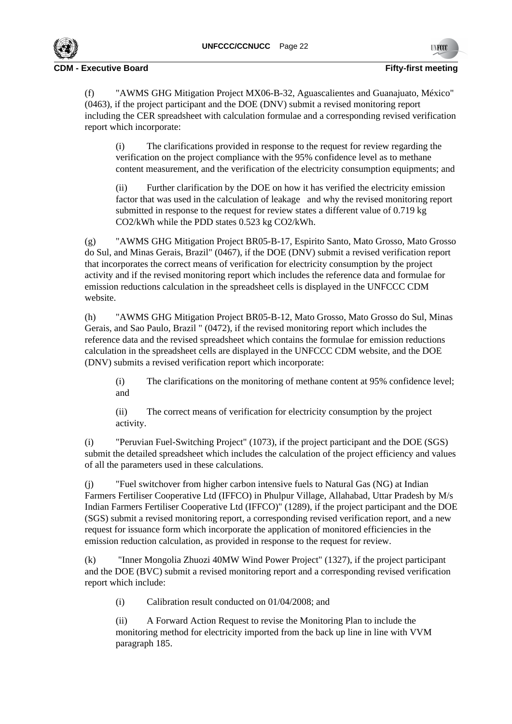

(f) "AWMS GHG Mitigation Project MX06-B-32, Aguascalientes and Guanajuato, México" (0463), if the project participant and the DOE (DNV) submit a revised monitoring report including the CER spreadsheet with calculation formulae and a corresponding revised verification report which incorporate:

(i) The clarifications provided in response to the request for review regarding the verification on the project compliance with the 95% confidence level as to methane content measurement, and the verification of the electricity consumption equipments; and

(ii) Further clarification by the DOE on how it has verified the electricity emission factor that was used in the calculation of leakage and why the revised monitoring report submitted in response to the request for review states a different value of 0.719 kg CO2/kWh while the PDD states 0.523 kg CO2/kWh.

(g) "AWMS GHG Mitigation Project BR05-B-17, Espirito Santo, Mato Grosso, Mato Grosso do Sul, and Minas Gerais, Brazil" (0467), if the DOE (DNV) submit a revised verification report that incorporates the correct means of verification for electricity consumption by the project activity and if the revised monitoring report which includes the reference data and formulae for emission reductions calculation in the spreadsheet cells is displayed in the UNFCCC CDM website.

(h) "AWMS GHG Mitigation Project BR05-B-12, Mato Grosso, Mato Grosso do Sul, Minas Gerais, and Sao Paulo, Brazil " (0472), if the revised monitoring report which includes the reference data and the revised spreadsheet which contains the formulae for emission reductions calculation in the spreadsheet cells are displayed in the UNFCCC CDM website, and the DOE (DNV) submits a revised verification report which incorporate:

(i) The clarifications on the monitoring of methane content at 95% confidence level; and

(ii) The correct means of verification for electricity consumption by the project activity.

(i) "Peruvian Fuel-Switching Project" (1073), if the project participant and the DOE (SGS) submit the detailed spreadsheet which includes the calculation of the project efficiency and values of all the parameters used in these calculations.

(j) "Fuel switchover from higher carbon intensive fuels to Natural Gas (NG) at Indian Farmers Fertiliser Cooperative Ltd (IFFCO) in Phulpur Village, Allahabad, Uttar Pradesh by M/s Indian Farmers Fertiliser Cooperative Ltd (IFFCO)" (1289), if the project participant and the DOE (SGS) submit a revised monitoring report, a corresponding revised verification report, and a new request for issuance form which incorporate the application of monitored efficiencies in the emission reduction calculation, as provided in response to the request for review.

(k) "Inner Mongolia Zhuozi 40MW Wind Power Project" (1327), if the project participant and the DOE (BVC) submit a revised monitoring report and a corresponding revised verification report which include:

(i) Calibration result conducted on 01/04/2008; and

(ii) A Forward Action Request to revise the Monitoring Plan to include the monitoring method for electricity imported from the back up line in line with VVM paragraph 185.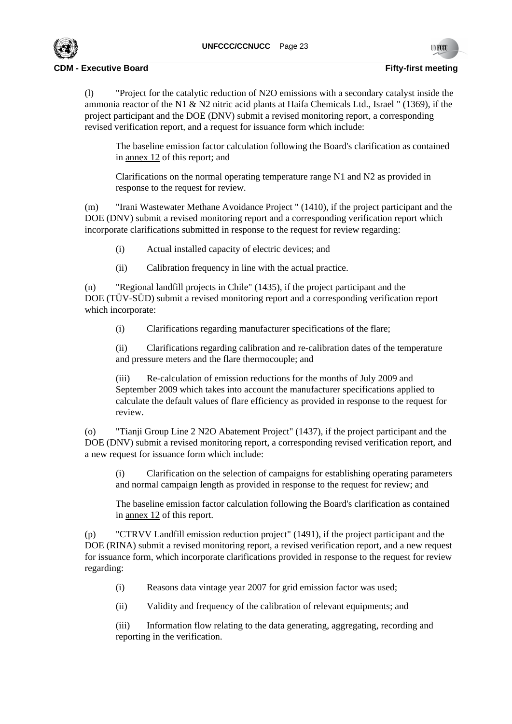

(l) "Project for the catalytic reduction of N2O emissions with a secondary catalyst inside the ammonia reactor of the N1 & N2 nitric acid plants at Haifa Chemicals Ltd., Israel " (1369), if the project participant and the DOE (DNV) submit a revised monitoring report, a corresponding revised verification report, and a request for issuance form which include:

The baseline emission factor calculation following the Board's clarification as contained in annex 12 of this report; and

Clarifications on the normal operating temperature range N1 and N2 as provided in response to the request for review.

(m) "Irani Wastewater Methane Avoidance Project " (1410), if the project participant and the DOE (DNV) submit a revised monitoring report and a corresponding verification report which incorporate clarifications submitted in response to the request for review regarding:

- (i) Actual installed capacity of electric devices; and
- (ii) Calibration frequency in line with the actual practice.

(n) "Regional landfill projects in Chile" (1435), if the project participant and the DOE (TÜV-SÜD) submit a revised monitoring report and a corresponding verification report which incorporate:

(i) Clarifications regarding manufacturer specifications of the flare;

(ii) Clarifications regarding calibration and re-calibration dates of the temperature and pressure meters and the flare thermocouple; and

(iii) Re-calculation of emission reductions for the months of July 2009 and September 2009 which takes into account the manufacturer specifications applied to calculate the default values of flare efficiency as provided in response to the request for review.

(o) "Tianji Group Line 2 N2O Abatement Project" (1437), if the project participant and the DOE (DNV) submit a revised monitoring report, a corresponding revised verification report, and a new request for issuance form which include:

(i) Clarification on the selection of campaigns for establishing operating parameters and normal campaign length as provided in response to the request for review; and

The baseline emission factor calculation following the Board's clarification as contained in annex 12 of this report.

(p) "CTRVV Landfill emission reduction project" (1491), if the project participant and the DOE (RINA) submit a revised monitoring report, a revised verification report, and a new request for issuance form, which incorporate clarifications provided in response to the request for review regarding:

- (i) Reasons data vintage year 2007 for grid emission factor was used;
- (ii) Validity and frequency of the calibration of relevant equipments; and

(iii) Information flow relating to the data generating, aggregating, recording and reporting in the verification.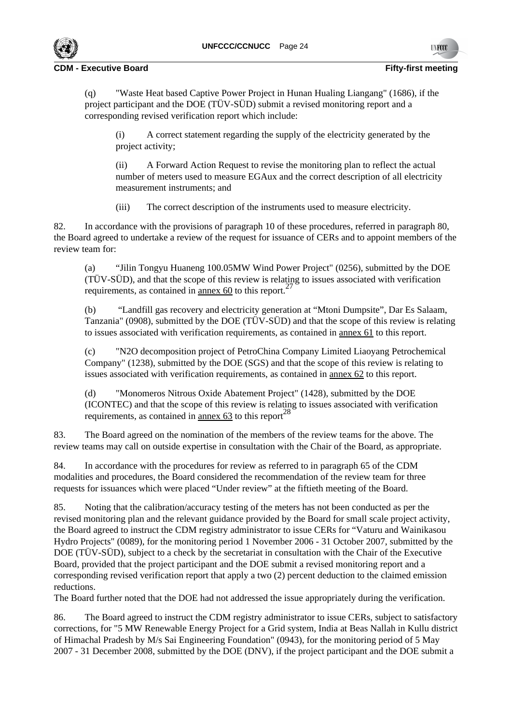



(q) "Waste Heat based Captive Power Project in Hunan Hualing Liangang" (1686), if the project participant and the DOE (TÜV-SÜD) submit a revised monitoring report and a corresponding revised verification report which include:

(i) A correct statement regarding the supply of the electricity generated by the project activity;

(ii) A Forward Action Request to revise the monitoring plan to reflect the actual number of meters used to measure EGAux and the correct description of all electricity measurement instruments; and

(iii) The correct description of the instruments used to measure electricity.

82. In accordance with the provisions of paragraph 10 of these procedures, referred in paragraph 80, the Board agreed to undertake a review of the request for issuance of CERs and to appoint members of the review team for:

(a) "Jilin Tongyu Huaneng 100.05MW Wind Power Project" (0256), submitted by the DOE (TÜV-SÜD), and that the scope of this review is relating to issues associated with verification requirements, as contained in  $\frac{27}{\text{amex }60}$  to this report.<sup>27</sup>

(b) "Landfill gas recovery and electricity generation at "Mtoni Dumpsite", Dar Es Salaam, Tanzania" (0908), submitted by the DOE (TÜV-SÜD) and that the scope of this review is relating to issues associated with verification requirements, as contained in annex 61 to this report.

(c) "N2O decomposition project of PetroChina Company Limited Liaoyang Petrochemical Company" (1238), submitted by the DOE (SGS) and that the scope of this review is relating to issues associated with verification requirements, as contained in annex 62 to this report.

(d) "Monomeros Nitrous Oxide Abatement Project" (1428), submitted by the DOE (ICONTEC) and that the scope of this review is relating to issues associated with verification requirements, as contained in <u>annex 63</u> to this report<sup>28</sup>

83. The Board agreed on the nomination of the members of the review teams for the above. The review teams may call on outside expertise in consultation with the Chair of the Board, as appropriate.

84. In accordance with the procedures for review as referred to in paragraph 65 of the CDM modalities and procedures, the Board considered the recommendation of the review team for three requests for issuances which were placed "Under review" at the fiftieth meeting of the Board.

85. Noting that the calibration/accuracy testing of the meters has not been conducted as per the revised monitoring plan and the relevant guidance provided by the Board for small scale project activity, the Board agreed to instruct the CDM registry administrator to issue CERs for "Vaturu and Wainikasou Hydro Projects" (0089), for the monitoring period 1 November 2006 - 31 October 2007, submitted by the DOE (TÜV-SÜD), subject to a check by the secretariat in consultation with the Chair of the Executive Board, provided that the project participant and the DOE submit a revised monitoring report and a corresponding revised verification report that apply a two (2) percent deduction to the claimed emission reductions.

The Board further noted that the DOE had not addressed the issue appropriately during the verification.

86. The Board agreed to instruct the CDM registry administrator to issue CERs, subject to satisfactory corrections, for "5 MW Renewable Energy Project for a Grid system, India at Beas Nallah in Kullu district of Himachal Pradesh by M/s Sai Engineering Foundation" (0943), for the monitoring period of 5 May 2007 - 31 December 2008, submitted by the DOE (DNV), if the project participant and the DOE submit a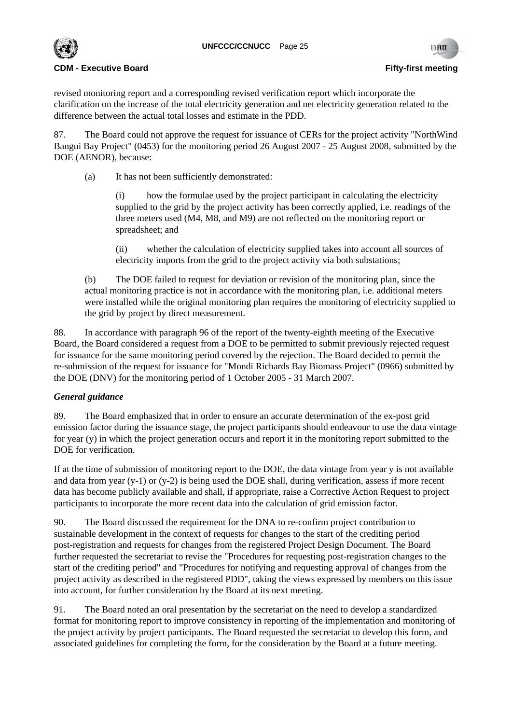

#### **CDM** - Executive Board **Figure 2018 Figure 2018 Figure 2018 Figure 2018 Figure 2018 Figure 2018**

revised monitoring report and a corresponding revised verification report which incorporate the clarification on the increase of the total electricity generation and net electricity generation related to the difference between the actual total losses and estimate in the PDD.

87. The Board could not approve the request for issuance of CERs for the project activity "NorthWind Bangui Bay Project" (0453) for the monitoring period 26 August 2007 - 25 August 2008, submitted by the DOE (AENOR), because:

(a) It has not been sufficiently demonstrated:

(i) how the formulae used by the project participant in calculating the electricity supplied to the grid by the project activity has been correctly applied, i.e. readings of the three meters used (M4, M8, and M9) are not reflected on the monitoring report or spreadsheet; and

(ii) whether the calculation of electricity supplied takes into account all sources of electricity imports from the grid to the project activity via both substations;

(b) The DOE failed to request for deviation or revision of the monitoring plan, since the actual monitoring practice is not in accordance with the monitoring plan, i.e. additional meters were installed while the original monitoring plan requires the monitoring of electricity supplied to the grid by project by direct measurement.

88. In accordance with paragraph 96 of the report of the twenty-eighth meeting of the Executive Board, the Board considered a request from a DOE to be permitted to submit previously rejected request for issuance for the same monitoring period covered by the rejection. The Board decided to permit the re-submission of the request for issuance for "Mondi Richards Bay Biomass Project" (0966) submitted by the DOE (DNV) for the monitoring period of 1 October 2005 - 31 March 2007.

# *General guidance*

89. The Board emphasized that in order to ensure an accurate determination of the ex-post grid emission factor during the issuance stage, the project participants should endeavour to use the data vintage for year (y) in which the project generation occurs and report it in the monitoring report submitted to the DOE for verification.

If at the time of submission of monitoring report to the DOE, the data vintage from year y is not available and data from year  $(y-1)$  or  $(y-2)$  is being used the DOE shall, during verification, assess if more recent data has become publicly available and shall, if appropriate, raise a Corrective Action Request to project participants to incorporate the more recent data into the calculation of grid emission factor.

90. The Board discussed the requirement for the DNA to re-confirm project contribution to sustainable development in the context of requests for changes to the start of the crediting period post-registration and requests for changes from the registered Project Design Document. The Board further requested the secretariat to revise the "Procedures for requesting post-registration changes to the start of the crediting period" and "Procedures for notifying and requesting approval of changes from the project activity as described in the registered PDD", taking the views expressed by members on this issue into account, for further consideration by the Board at its next meeting.

91. The Board noted an oral presentation by the secretariat on the need to develop a standardized format for monitoring report to improve consistency in reporting of the implementation and monitoring of the project activity by project participants. The Board requested the secretariat to develop this form, and associated guidelines for completing the form, for the consideration by the Board at a future meeting.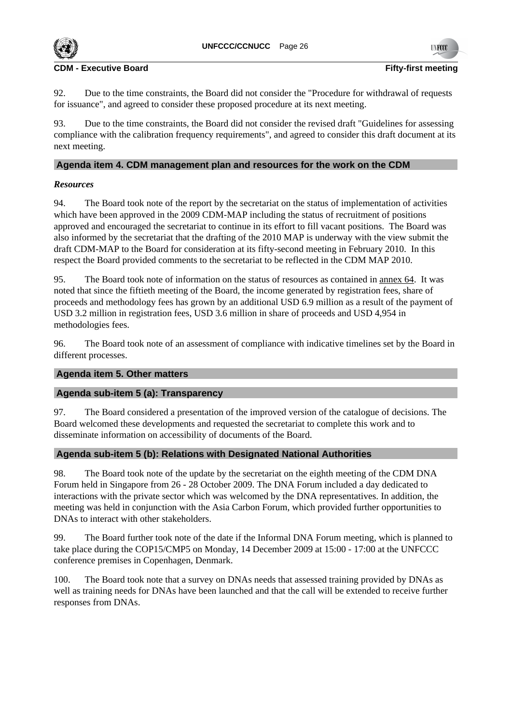

92. Due to the time constraints, the Board did not consider the "Procedure for withdrawal of requests for issuance", and agreed to consider these proposed procedure at its next meeting.

93. Due to the time constraints, the Board did not consider the revised draft "Guidelines for assessing compliance with the calibration frequency requirements", and agreed to consider this draft document at its next meeting.

# **Agenda item 4. CDM management plan and resources for the work on the CDM**

# *Resources*

94. The Board took note of the report by the secretariat on the status of implementation of activities which have been approved in the 2009 CDM-MAP including the status of recruitment of positions approved and encouraged the secretariat to continue in its effort to fill vacant positions. The Board was also informed by the secretariat that the drafting of the 2010 MAP is underway with the view submit the draft CDM-MAP to the Board for consideration at its fifty-second meeting in February 2010. In this respect the Board provided comments to the secretariat to be reflected in the CDM MAP 2010.

95. The Board took note of information on the status of resources as contained in annex 64. It was noted that since the fiftieth meeting of the Board, the income generated by registration fees, share of proceeds and methodology fees has grown by an additional USD 6.9 million as a result of the payment of USD 3.2 million in registration fees, USD 3.6 million in share of proceeds and USD 4,954 in methodologies fees.

96. The Board took note of an assessment of compliance with indicative timelines set by the Board in different processes.

# **Agenda item 5. Other matters**

# **Agenda sub-item 5 (a): Transparency**

97. The Board considered a presentation of the improved version of the catalogue of decisions. The Board welcomed these developments and requested the secretariat to complete this work and to disseminate information on accessibility of documents of the Board.

# **Agenda sub-item 5 (b): Relations with Designated National Authorities**

98. The Board took note of the update by the secretariat on the eighth meeting of the CDM DNA Forum held in Singapore from 26 - 28 October 2009. The DNA Forum included a day dedicated to interactions with the private sector which was welcomed by the DNA representatives. In addition, the meeting was held in conjunction with the Asia Carbon Forum, which provided further opportunities to DNAs to interact with other stakeholders.

99. The Board further took note of the date if the Informal DNA Forum meeting, which is planned to take place during the COP15/CMP5 on Monday, 14 December 2009 at 15:00 - 17:00 at the UNFCCC conference premises in Copenhagen, Denmark.

100. The Board took note that a survey on DNAs needs that assessed training provided by DNAs as well as training needs for DNAs have been launched and that the call will be extended to receive further responses from DNAs.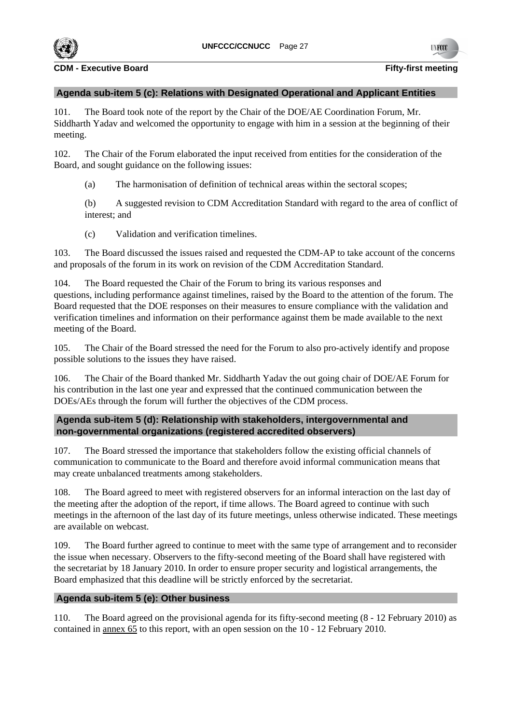

# **Agenda sub-item 5 (c): Relations with Designated Operational and Applicant Entities**

101. The Board took note of the report by the Chair of the DOE/AE Coordination Forum, Mr. Siddharth Yadav and welcomed the opportunity to engage with him in a session at the beginning of their meeting.

102. The Chair of the Forum elaborated the input received from entities for the consideration of the Board, and sought guidance on the following issues:

(a) The harmonisation of definition of technical areas within the sectoral scopes;

(b) A suggested revision to CDM Accreditation Standard with regard to the area of conflict of interest; and

(c) Validation and verification timelines.

103. The Board discussed the issues raised and requested the CDM-AP to take account of the concerns and proposals of the forum in its work on revision of the CDM Accreditation Standard.

104. The Board requested the Chair of the Forum to bring its various responses and questions, including performance against timelines, raised by the Board to the attention of the forum. The Board requested that the DOE responses on their measures to ensure compliance with the validation and verification timelines and information on their performance against them be made available to the next meeting of the Board.

105. The Chair of the Board stressed the need for the Forum to also pro-actively identify and propose possible solutions to the issues they have raised.

106. The Chair of the Board thanked Mr. Siddharth Yadav the out going chair of DOE/AE Forum for his contribution in the last one year and expressed that the continued communication between the DOEs/AEs through the forum will further the objectives of the CDM process.

# **Agenda sub-item 5 (d): Relationship with stakeholders, intergovernmental and non-governmental organizations (registered accredited observers)**

107. The Board stressed the importance that stakeholders follow the existing official channels of communication to communicate to the Board and therefore avoid informal communication means that may create unbalanced treatments among stakeholders.

108. The Board agreed to meet with registered observers for an informal interaction on the last day of the meeting after the adoption of the report, if time allows. The Board agreed to continue with such meetings in the afternoon of the last day of its future meetings, unless otherwise indicated. These meetings are available on webcast.

109. The Board further agreed to continue to meet with the same type of arrangement and to reconsider the issue when necessary. Observers to the fifty-second meeting of the Board shall have registered with the secretariat by 18 January 2010. In order to ensure proper security and logistical arrangements, the Board emphasized that this deadline will be strictly enforced by the secretariat.

# **Agenda sub-item 5 (e): Other business**

110. The Board agreed on the provisional agenda for its fifty-second meeting (8 - 12 February 2010) as contained in annex 65 to this report, with an open session on the 10 - 12 February 2010.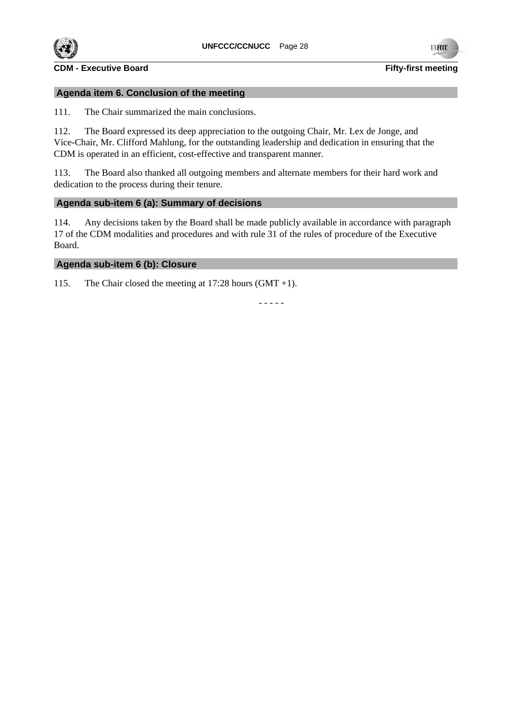

**TIV ROOT** 

# **Agenda item 6. Conclusion of the meeting**

111. The Chair summarized the main conclusions.

112. The Board expressed its deep appreciation to the outgoing Chair, Mr. Lex de Jonge, and Vice-Chair, Mr. Clifford Mahlung, for the outstanding leadership and dedication in ensuring that the CDM is operated in an efficient, cost-effective and transparent manner.

113. The Board also thanked all outgoing members and alternate members for their hard work and dedication to the process during their tenure.

### **Agenda sub-item 6 (a): Summary of decisions**

114. Any decisions taken by the Board shall be made publicly available in accordance with paragraph 17 of the CDM modalities and procedures and with rule 31 of the rules of procedure of the Executive Board.

# **Agenda sub-item 6 (b): Closure**

115. The Chair closed the meeting at 17:28 hours (GMT +1).

- - - - -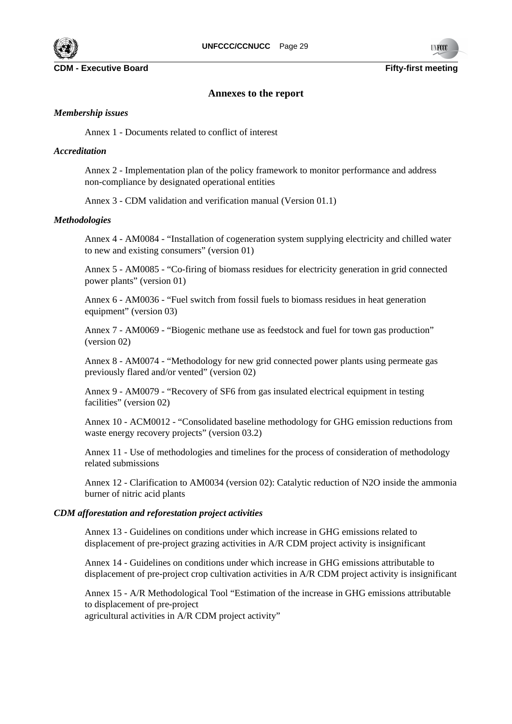

#### **Annexes to the report**

#### *Membership issues*

Annex 1 - Documents related to conflict of interest

#### *Accreditation*

Annex 2 - Implementation plan of the policy framework to monitor performance and address non-compliance by designated operational entities

Annex 3 - CDM validation and verification manual (Version 01.1)

### *Methodologies*

Annex 4 - AM0084 - "Installation of cogeneration system supplying electricity and chilled water to new and existing consumers" (version 01)

Annex 5 - AM0085 - "Co-firing of biomass residues for electricity generation in grid connected power plants" (version 01)

Annex 6 - AM0036 - "Fuel switch from fossil fuels to biomass residues in heat generation equipment" (version 03)

Annex 7 - AM0069 - "Biogenic methane use as feedstock and fuel for town gas production" (version 02)

Annex 8 - AM0074 - "Methodology for new grid connected power plants using permeate gas previously flared and/or vented" (version 02)

Annex 9 - AM0079 - "Recovery of SF6 from gas insulated electrical equipment in testing facilities" (version 02)

Annex 10 - ACM0012 - "Consolidated baseline methodology for GHG emission reductions from waste energy recovery projects" (version 03.2)

Annex 11 - Use of methodologies and timelines for the process of consideration of methodology related submissions

Annex 12 - Clarification to AM0034 (version 02): Catalytic reduction of N2O inside the ammonia burner of nitric acid plants

#### *CDM afforestation and reforestation project activities*

Annex 13 - Guidelines on conditions under which increase in GHG emissions related to displacement of pre-project grazing activities in A/R CDM project activity is insignificant

Annex 14 - Guidelines on conditions under which increase in GHG emissions attributable to displacement of pre-project crop cultivation activities in A/R CDM project activity is insignificant

Annex 15 - A/R Methodological Tool "Estimation of the increase in GHG emissions attributable to displacement of pre-project

agricultural activities in A/R CDM project activity"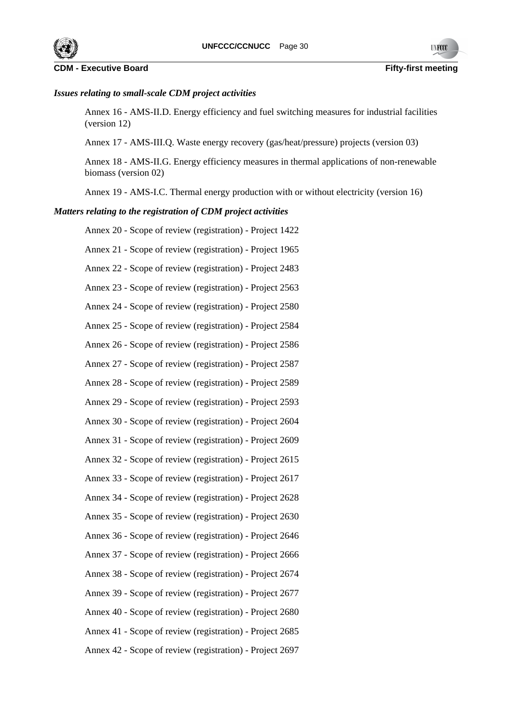



# *Issues relating to small-scale CDM project activities*

Annex 16 - AMS-II.D. Energy efficiency and fuel switching measures for industrial facilities (version 12)

Annex 17 - AMS-III.Q. Waste energy recovery (gas/heat/pressure) projects (version 03)

Annex 18 - AMS-II.G. Energy efficiency measures in thermal applications of non-renewable biomass (version 02)

Annex 19 - AMS-I.C. Thermal energy production with or without electricity (version 16)

### *Matters relating to the registration of CDM project activities*

- Annex 20 Scope of review (registration) Project 1422 Annex 21 - Scope of review (registration) - Project 1965 Annex 22 - Scope of review (registration) - Project 2483 Annex 23 - Scope of review (registration) - Project 2563 Annex 24 - Scope of review (registration) - Project 2580 Annex 25 - Scope of review (registration) - Project 2584 Annex 26 - Scope of review (registration) - Project 2586 Annex 27 - Scope of review (registration) - Project 2587 Annex 28 - Scope of review (registration) - Project 2589 Annex 29 - Scope of review (registration) - Project 2593 Annex 30 - Scope of review (registration) - Project 2604 Annex 31 - Scope of review (registration) - Project 2609 Annex 32 - Scope of review (registration) - Project 2615 Annex 33 - Scope of review (registration) - Project 2617 Annex 34 - Scope of review (registration) - Project 2628 Annex 35 - Scope of review (registration) - Project 2630 Annex 36 - Scope of review (registration) - Project 2646 Annex 37 - Scope of review (registration) - Project 2666 Annex 38 - Scope of review (registration) - Project 2674 Annex 39 - Scope of review (registration) - Project 2677 Annex 40 - Scope of review (registration) - Project 2680 Annex 41 - Scope of review (registration) - Project 2685
- Annex 42 Scope of review (registration) Project 2697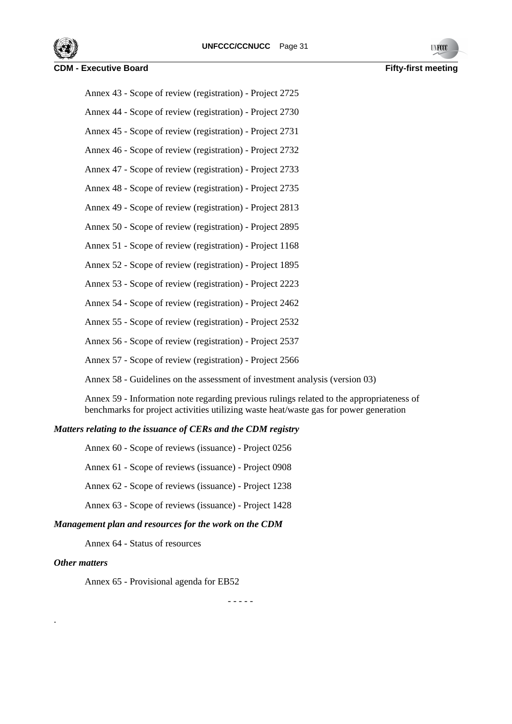

Annex 43 - Scope of review (registration) - Project 2725

Annex 44 - Scope of review (registration) - Project 2730 Annex 45 - Scope of review (registration) - Project 2731

Annex 46 - Scope of review (registration) - Project 2732

Annex 47 - Scope of review (registration) - Project 2733

Annex 48 - Scope of review (registration) - Project 2735

Annex 49 - Scope of review (registration) - Project 2813

Annex 50 - Scope of review (registration) - Project 2895

Annex 51 - Scope of review (registration) - Project 1168

Annex 52 - Scope of review (registration) - Project 1895

Annex 53 - Scope of review (registration) - Project 2223

Annex 54 - Scope of review (registration) - Project 2462

Annex 55 - Scope of review (registration) - Project 2532

Annex 56 - Scope of review (registration) - Project 2537

Annex 57 - Scope of review (registration) - Project 2566

Annex 58 - Guidelines on the assessment of investment analysis (version 03)

Annex 59 - Information note regarding previous rulings related to the appropriateness of benchmarks for project activities utilizing waste heat/waste gas for power generation

# *Matters relating to the issuance of CERs and the CDM registry*

Annex 60 - Scope of reviews (issuance) - Project 0256

Annex 61 - Scope of reviews (issuance) - Project 0908

Annex 62 - Scope of reviews (issuance) - Project 1238

Annex 63 - Scope of reviews (issuance) - Project 1428

# *Management plan and resources for the work on the CDM*

Annex 64 - Status of resources

# *Other matters*

.

Annex 65 - Provisional agenda for EB52

- - - - -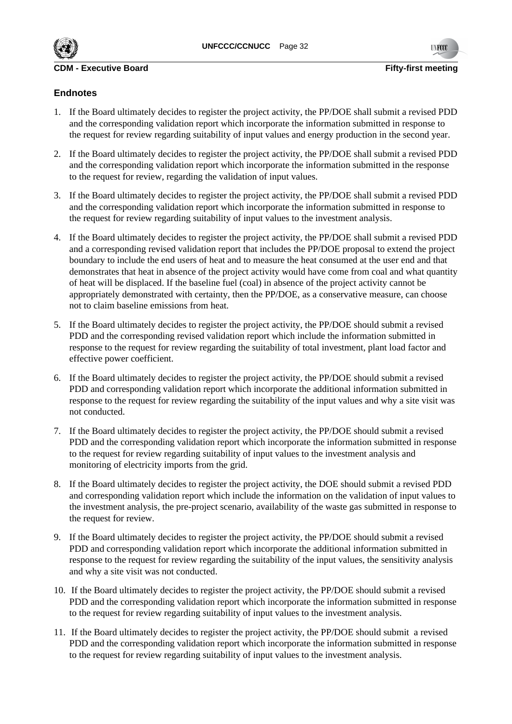

# **Endnotes**

- 1. If the Board ultimately decides to register the project activity, the PP/DOE shall submit a revised PDD and the corresponding validation report which incorporate the information submitted in response to the request for review regarding suitability of input values and energy production in the second year.
- 2. If the Board ultimately decides to register the project activity, the PP/DOE shall submit a revised PDD and the corresponding validation report which incorporate the information submitted in the response to the request for review, regarding the validation of input values.
- 3. If the Board ultimately decides to register the project activity, the PP/DOE shall submit a revised PDD and the corresponding validation report which incorporate the information submitted in response to the request for review regarding suitability of input values to the investment analysis.
- 4. If the Board ultimately decides to register the project activity, the PP/DOE shall submit a revised PDD and a corresponding revised validation report that includes the PP/DOE proposal to extend the project boundary to include the end users of heat and to measure the heat consumed at the user end and that demonstrates that heat in absence of the project activity would have come from coal and what quantity of heat will be displaced. If the baseline fuel (coal) in absence of the project activity cannot be appropriately demonstrated with certainty, then the PP/DOE, as a conservative measure, can choose not to claim baseline emissions from heat.
- 5. If the Board ultimately decides to register the project activity, the PP/DOE should submit a revised PDD and the corresponding revised validation report which include the information submitted in response to the request for review regarding the suitability of total investment, plant load factor and effective power coefficient.
- 6. If the Board ultimately decides to register the project activity, the PP/DOE should submit a revised PDD and corresponding validation report which incorporate the additional information submitted in response to the request for review regarding the suitability of the input values and why a site visit was not conducted.
- 7. If the Board ultimately decides to register the project activity, the PP/DOE should submit a revised PDD and the corresponding validation report which incorporate the information submitted in response to the request for review regarding suitability of input values to the investment analysis and monitoring of electricity imports from the grid.
- 8. If the Board ultimately decides to register the project activity, the DOE should submit a revised PDD and corresponding validation report which include the information on the validation of input values to the investment analysis, the pre-project scenario, availability of the waste gas submitted in response to the request for review.
- 9. If the Board ultimately decides to register the project activity, the PP/DOE should submit a revised PDD and corresponding validation report which incorporate the additional information submitted in response to the request for review regarding the suitability of the input values, the sensitivity analysis and why a site visit was not conducted.
- 10. If the Board ultimately decides to register the project activity, the PP/DOE should submit a revised PDD and the corresponding validation report which incorporate the information submitted in response to the request for review regarding suitability of input values to the investment analysis.
- 11. If the Board ultimately decides to register the project activity, the PP/DOE should submit a revised PDD and the corresponding validation report which incorporate the information submitted in response to the request for review regarding suitability of input values to the investment analysis.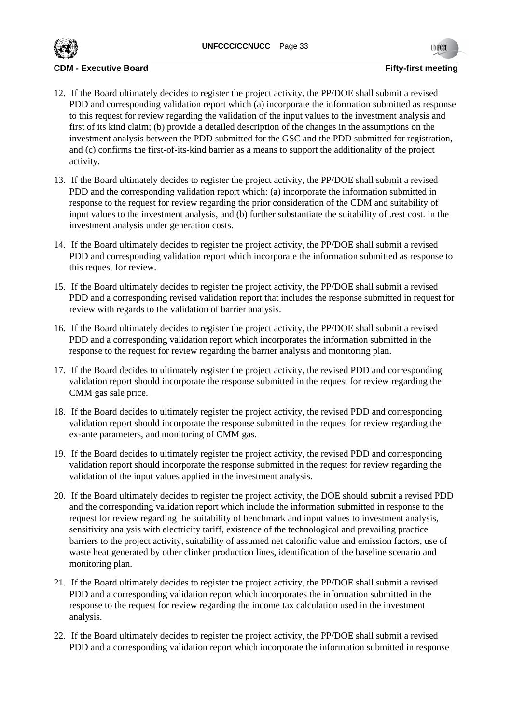

- 12. If the Board ultimately decides to register the project activity, the PP/DOE shall submit a revised PDD and corresponding validation report which (a) incorporate the information submitted as response to this request for review regarding the validation of the input values to the investment analysis and first of its kind claim; (b) provide a detailed description of the changes in the assumptions on the investment analysis between the PDD submitted for the GSC and the PDD submitted for registration, and (c) confirms the first-of-its-kind barrier as a means to support the additionality of the project activity.
- 13. If the Board ultimately decides to register the project activity, the PP/DOE shall submit a revised PDD and the corresponding validation report which: (a) incorporate the information submitted in response to the request for review regarding the prior consideration of the CDM and suitability of input values to the investment analysis, and (b) further substantiate the suitability of .rest cost. in the investment analysis under generation costs.
- 14. If the Board ultimately decides to register the project activity, the PP/DOE shall submit a revised PDD and corresponding validation report which incorporate the information submitted as response to this request for review.
- 15. If the Board ultimately decides to register the project activity, the PP/DOE shall submit a revised PDD and a corresponding revised validation report that includes the response submitted in request for review with regards to the validation of barrier analysis.
- 16. If the Board ultimately decides to register the project activity, the PP/DOE shall submit a revised PDD and a corresponding validation report which incorporates the information submitted in the response to the request for review regarding the barrier analysis and monitoring plan.
- 17. If the Board decides to ultimately register the project activity, the revised PDD and corresponding validation report should incorporate the response submitted in the request for review regarding the CMM gas sale price.
- 18. If the Board decides to ultimately register the project activity, the revised PDD and corresponding validation report should incorporate the response submitted in the request for review regarding the ex-ante parameters, and monitoring of CMM gas.
- 19. If the Board decides to ultimately register the project activity, the revised PDD and corresponding validation report should incorporate the response submitted in the request for review regarding the validation of the input values applied in the investment analysis.
- 20. If the Board ultimately decides to register the project activity, the DOE should submit a revised PDD and the corresponding validation report which include the information submitted in response to the request for review regarding the suitability of benchmark and input values to investment analysis, sensitivity analysis with electricity tariff, existence of the technological and prevailing practice barriers to the project activity, suitability of assumed net calorific value and emission factors, use of waste heat generated by other clinker production lines, identification of the baseline scenario and monitoring plan.
- 21. If the Board ultimately decides to register the project activity, the PP/DOE shall submit a revised PDD and a corresponding validation report which incorporates the information submitted in the response to the request for review regarding the income tax calculation used in the investment analysis.
- 22. If the Board ultimately decides to register the project activity, the PP/DOE shall submit a revised PDD and a corresponding validation report which incorporate the information submitted in response